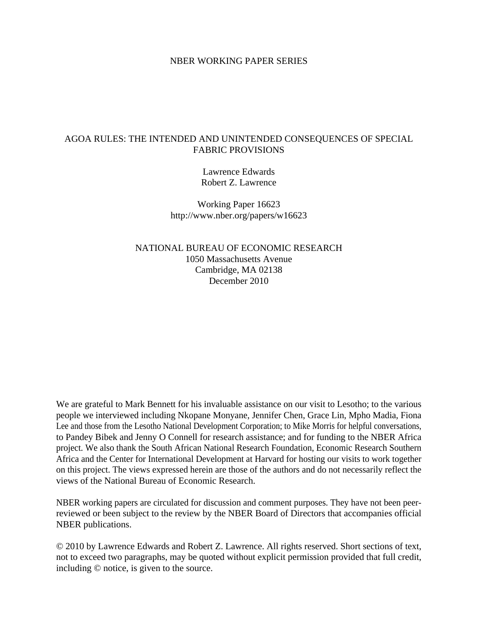## NBER WORKING PAPER SERIES

## AGOA RULES: THE INTENDED AND UNINTENDED CONSEQUENCES OF SPECIAL FABRIC PROVISIONS

Lawrence Edwards Robert Z. Lawrence

Working Paper 16623 http://www.nber.org/papers/w16623

NATIONAL BUREAU OF ECONOMIC RESEARCH 1050 Massachusetts Avenue Cambridge, MA 02138 December 2010

We are grateful to Mark Bennett for his invaluable assistance on our visit to Lesotho; to the various people we interviewed including Nkopane Monyane, Jennifer Chen, Grace Lin, Mpho Madia, Fiona Lee and those from the Lesotho National Development Corporation; to Mike Morris for helpful conversations, to Pandey Bibek and Jenny O Connell for research assistance; and for funding to the NBER Africa project. We also thank the South African National Research Foundation, Economic Research Southern Africa and the Center for International Development at Harvard for hosting our visits to work together on this project. The views expressed herein are those of the authors and do not necessarily reflect the views of the National Bureau of Economic Research.

NBER working papers are circulated for discussion and comment purposes. They have not been peerreviewed or been subject to the review by the NBER Board of Directors that accompanies official NBER publications.

© 2010 by Lawrence Edwards and Robert Z. Lawrence. All rights reserved. Short sections of text, not to exceed two paragraphs, may be quoted without explicit permission provided that full credit, including © notice, is given to the source.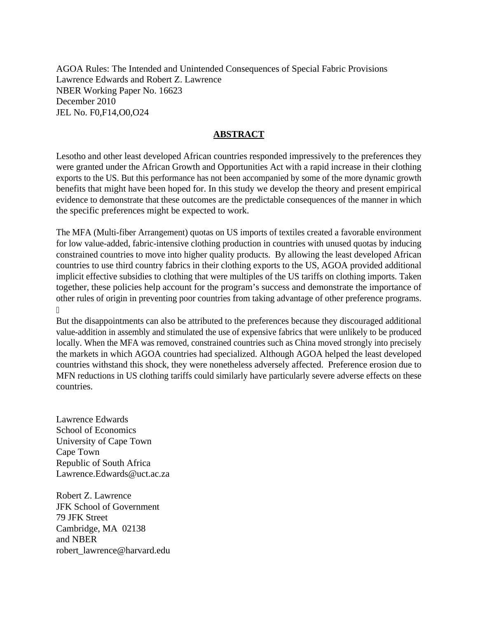AGOA Rules: The Intended and Unintended Consequences of Special Fabric Provisions Lawrence Edwards and Robert Z. Lawrence NBER Working Paper No. 16623 December 2010 JEL No. F0,F14,O0,O24

# **ABSTRACT**

Lesotho and other least developed African countries responded impressively to the preferences they were granted under the African Growth and Opportunities Act with a rapid increase in their clothing exports to the US. But this performance has not been accompanied by some of the more dynamic growth benefits that might have been hoped for. In this study we develop the theory and present empirical evidence to demonstrate that these outcomes are the predictable consequences of the manner in which the specific preferences might be expected to work.

The MFA (Multi-fiber Arrangement) quotas on US imports of textiles created a favorable environment for low value-added, fabric-intensive clothing production in countries with unused quotas by inducing constrained countries to move into higher quality products. By allowing the least developed African countries to use third country fabrics in their clothing exports to the US, AGOA provided additional implicit effective subsidies to clothing that were multiples of the US tariffs on clothing imports. Taken together, these policies help account for the program's success and demonstrate the importance of other rules of origin in preventing poor countries from taking advantage of other preference programs.

But the disappointments can also be attributed to the preferences because they discouraged additional value-addition in assembly and stimulated the use of expensive fabrics that were unlikely to be produced locally. When the MFA was removed, constrained countries such as China moved strongly into precisely the markets in which AGOA countries had specialized. Although AGOA helped the least developed countries withstand this shock, they were nonetheless adversely affected. Preference erosion due to MFN reductions in US clothing tariffs could similarly have particularly severe adverse effects on these countries.

Lawrence Edwards School of Economics University of Cape Town Cape Town Republic of South Africa Lawrence.Edwards@uct.ac.za

ľ

Robert Z. Lawrence JFK School of Government 79 JFK Street Cambridge, MA 02138 and NBER robert\_lawrence@harvard.edu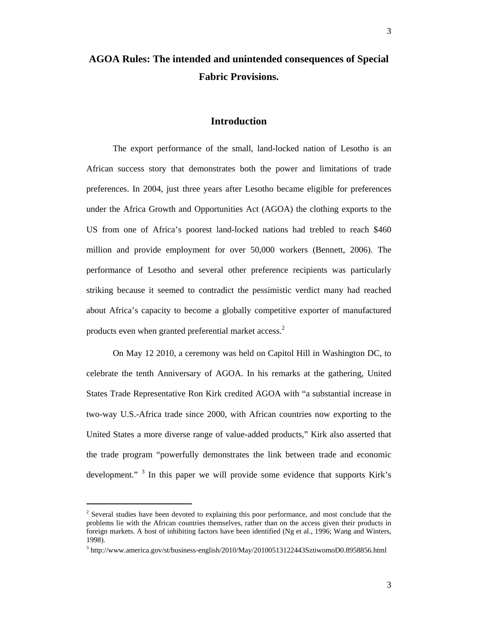# **AGOA Rules: The intended and unintended consequences of Special Fabric Provisions.**

## **Introduction**

The export performance of the small, land-locked nation of Lesotho is an African success story that demonstrates both the power and limitations of trade preferences. In 2004, just three years after Lesotho became eligible for preferences under the Africa Growth and Opportunities Act (AGOA) the clothing exports to the US from one of Africa's poorest land-locked nations had trebled to reach \$460 million and provide employment for over 50,000 workers (Bennett, 2006). The performance of Lesotho and several other preference recipients was particularly striking because it seemed to contradict the pessimistic verdict many had reached about Africa's capacity to become a globally competitive exporter of manufactured products even when granted preferential market access. $2$ 

On May 12 2010, a ceremony was held on Capitol Hill in Washington DC, to celebrate the tenth Anniversary of AGOA. In his remarks at the gathering, United States Trade Representative Ron Kirk credited AGOA with "a substantial increase in two-way U.S.-Africa trade since 2000, with African countries now exporting to the United States a more diverse range of value-added products," Kirk also asserted that the trade program "powerfully demonstrates the link between trade and economic development."  $3$  In this paper we will provide some evidence that supports Kirk's

l

 $2^{2}$  Several studies have been devoted to explaining this poor performance, and most conclude that the problems lie with the African countries themselves, rather than on the access given their products in foreign markets. A host of inhibiting factors have been identified (Ng et al., 1996; Wang and Winters, 1998).

<sup>&</sup>lt;sup>3</sup> http://www.america.gov/st/business-english/2010/May/20100513122443SztiwomoD0.8958856.html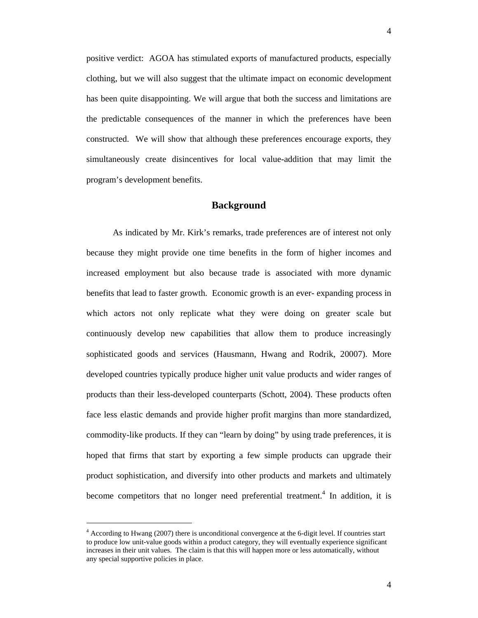positive verdict: AGOA has stimulated exports of manufactured products, especially clothing, but we will also suggest that the ultimate impact on economic development has been quite disappointing. We will argue that both the success and limitations are the predictable consequences of the manner in which the preferences have been constructed. We will show that although these preferences encourage exports, they simultaneously create disincentives for local value-addition that may limit the program's development benefits.

## **Background**

As indicated by Mr. Kirk's remarks, trade preferences are of interest not only because they might provide one time benefits in the form of higher incomes and increased employment but also because trade is associated with more dynamic benefits that lead to faster growth. Economic growth is an ever- expanding process in which actors not only replicate what they were doing on greater scale but continuously develop new capabilities that allow them to produce increasingly sophisticated goods and services (Hausmann, Hwang and Rodrik, 20007). More developed countries typically produce higher unit value products and wider ranges of products than their less-developed counterparts (Schott, 2004). These products often face less elastic demands and provide higher profit margins than more standardized, commodity-like products. If they can "learn by doing" by using trade preferences, it is hoped that firms that start by exporting a few simple products can upgrade their product sophistication, and diversify into other products and markets and ultimately become competitors that no longer need preferential treatment.<sup>4</sup> In addition, it is

 $\overline{a}$ 

<sup>&</sup>lt;sup>4</sup> According to Hwang (2007) there is unconditional convergence at the 6-digit level. If countries start to produce low unit-value goods within a product category, they will eventually experience significant increases in their unit values. The claim is that this will happen more or less automatically, without any special supportive policies in place.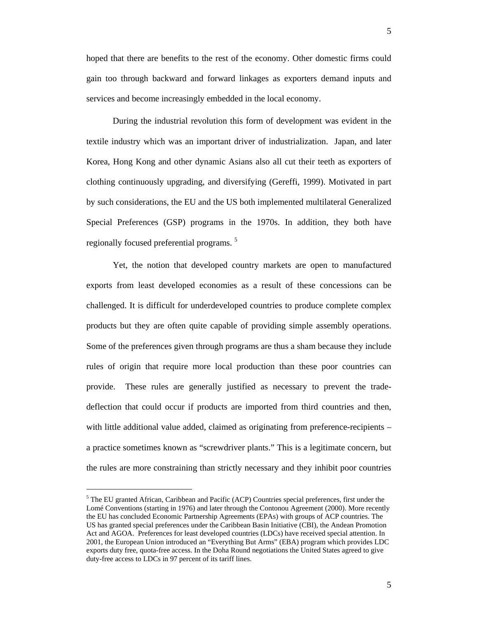5

hoped that there are benefits to the rest of the economy. Other domestic firms could gain too through backward and forward linkages as exporters demand inputs and services and become increasingly embedded in the local economy.

During the industrial revolution this form of development was evident in the textile industry which was an important driver of industrialization. Japan, and later Korea, Hong Kong and other dynamic Asians also all cut their teeth as exporters of clothing continuously upgrading, and diversifying (Gereffi, 1999). Motivated in part by such considerations, the EU and the US both implemented multilateral Generalized Special Preferences (GSP) programs in the 1970s. In addition, they both have regionally focused preferential programs. <sup>5</sup>

Yet, the notion that developed country markets are open to manufactured exports from least developed economies as a result of these concessions can be challenged. It is difficult for underdeveloped countries to produce complete complex products but they are often quite capable of providing simple assembly operations. Some of the preferences given through programs are thus a sham because they include rules of origin that require more local production than these poor countries can provide. These rules are generally justified as necessary to prevent the tradedeflection that could occur if products are imported from third countries and then, with little additional value added, claimed as originating from preference-recipients – a practice sometimes known as "screwdriver plants." This is a legitimate concern, but the rules are more constraining than strictly necessary and they inhibit poor countries

l

<sup>&</sup>lt;sup>5</sup> The EU granted African, Caribbean and Pacific (ACP) Countries special preferences, first under the Lomé Conventions (starting in 1976) and later through the Contonou Agreement (2000). More recently the EU has concluded Economic Partnership Agreements (EPAs) with groups of ACP countries. The US has granted special preferences under the Caribbean Basin Initiative (CBI), the Andean Promotion Act and AGOA. Preferences for least developed countries (LDCs) have received special attention. In 2001, the European Union introduced an "Everything But Arms" (EBA) program which provides LDC exports duty free, quota-free access. In the Doha Round negotiations the United States agreed to give duty-free access to LDCs in 97 percent of its tariff lines.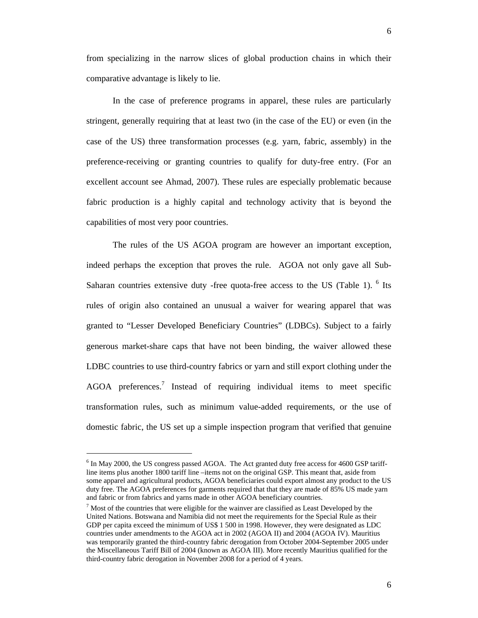from specializing in the narrow slices of global production chains in which their comparative advantage is likely to lie.

In the case of preference programs in apparel, these rules are particularly stringent, generally requiring that at least two (in the case of the EU) or even (in the case of the US) three transformation processes (e.g. yarn, fabric, assembly) in the preference-receiving or granting countries to qualify for duty-free entry. (For an excellent account see Ahmad, 2007). These rules are especially problematic because fabric production is a highly capital and technology activity that is beyond the capabilities of most very poor countries.

The rules of the US AGOA program are however an important exception, indeed perhaps the exception that proves the rule. AGOA not only gave all Sub-Saharan countries extensive duty -free quota-free access to the US (Table 1). <sup>6</sup> Its rules of origin also contained an unusual a waiver for wearing apparel that was granted to "Lesser Developed Beneficiary Countries" (LDBCs). Subject to a fairly generous market-share caps that have not been binding, the waiver allowed these LDBC countries to use third-country fabrics or yarn and still export clothing under the  $AGOA$  preferences.<sup>7</sup> Instead of requiring individual items to meet specific transformation rules, such as minimum value-added requirements, or the use of domestic fabric, the US set up a simple inspection program that verified that genuine

l

<sup>&</sup>lt;sup>6</sup> In May 2000, the US congress passed AGOA. The Act granted duty free access for 4600 GSP tariffline items plus another 1800 tariff line –items not on the original GSP. This meant that, aside from some apparel and agricultural products, AGOA beneficiaries could export almost any product to the US duty free. The AGOA preferences for garments required that that they are made of 85% US made yarn and fabric or from fabrics and yarns made in other AGOA beneficiary countries.

 $<sup>7</sup>$  Most of the countries that were eligible for the wainver are classified as Least Developed by the</sup> United Nations. Botswana and Namibia did not meet the requirements for the Special Rule as their GDP per capita exceed the minimum of US\$ 1 500 in 1998. However, they were designated as LDC countries under amendments to the AGOA act in 2002 (AGOA II) and 2004 (AGOA IV). Mauritius was temporarily granted the third-country fabric derogation from October 2004-September 2005 under the Miscellaneous Tariff Bill of 2004 (known as AGOA III). More recently Mauritius qualified for the third-country fabric derogation in November 2008 for a period of 4 years.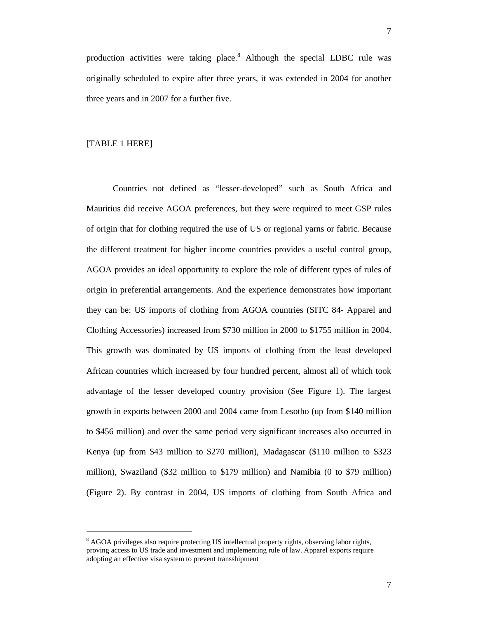production activities were taking place.<sup>8</sup> Although the special LDBC rule was originally scheduled to expire after three years, it was extended in 2004 for another three years and in 2007 for a further five.

## [TABLE 1 HERE]

l

Countries not defined as "lesser-developed" such as South Africa and Mauritius did receive AGOA preferences, but they were required to meet GSP rules of origin that for clothing required the use of US or regional yarns or fabric. Because the different treatment for higher income countries provides a useful control group, AGOA provides an ideal opportunity to explore the role of different types of rules of origin in preferential arrangements. And the experience demonstrates how important they can be: US imports of clothing from AGOA countries (SITC 84- Apparel and Clothing Accessories) increased from \$730 million in 2000 to \$1755 million in 2004. This growth was dominated by US imports of clothing from the least developed African countries which increased by four hundred percent, almost all of which took advantage of the lesser developed country provision (See Figure 1). The largest growth in exports between 2000 and 2004 came from Lesotho (up from \$140 million to \$456 million) and over the same period very significant increases also occurred in Kenya (up from \$43 million to \$270 million), Madagascar (\$110 million to \$323 million), Swaziland (\$32 million to \$179 million) and Namibia (0 to \$79 million) (Figure 2). By contrast in 2004, US imports of clothing from South Africa and

 $8$  AGOA privileges also require protecting US intellectual property rights, observing labor rights, proving access to US trade and investment and implementing rule of law. Apparel exports require adopting an effective visa system to prevent transshipment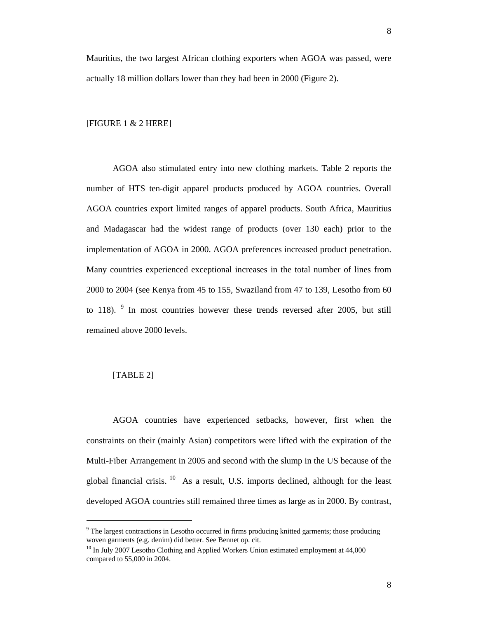Mauritius, the two largest African clothing exporters when AGOA was passed, were actually 18 million dollars lower than they had been in 2000 (Figure 2).

#### [FIGURE 1 & 2 HERE]

AGOA also stimulated entry into new clothing markets. Table 2 reports the number of HTS ten-digit apparel products produced by AGOA countries. Overall AGOA countries export limited ranges of apparel products. South Africa, Mauritius and Madagascar had the widest range of products (over 130 each) prior to the implementation of AGOA in 2000. AGOA preferences increased product penetration. Many countries experienced exceptional increases in the total number of lines from 2000 to 2004 (see Kenya from 45 to 155, Swaziland from 47 to 139, Lesotho from 60 to 118).  $9$  In most countries however these trends reversed after 2005, but still remained above 2000 levels.

## [TABLE 2]

l

AGOA countries have experienced setbacks, however, first when the constraints on their (mainly Asian) competitors were lifted with the expiration of the Multi-Fiber Arrangement in 2005 and second with the slump in the US because of the global financial crisis.  $^{10}$  As a result, U.S. imports declined, although for the least developed AGOA countries still remained three times as large as in 2000. By contrast,

<sup>&</sup>lt;sup>9</sup> The largest contractions in Lesotho occurred in firms producing knitted garments; those producing woven garments (e.g. denim) did better. See Bennet op. cit.

<sup>&</sup>lt;sup>10</sup> In July 2007 Lesotho Clothing and Applied Workers Union estimated employment at 44,000 compared to 55,000 in 2004.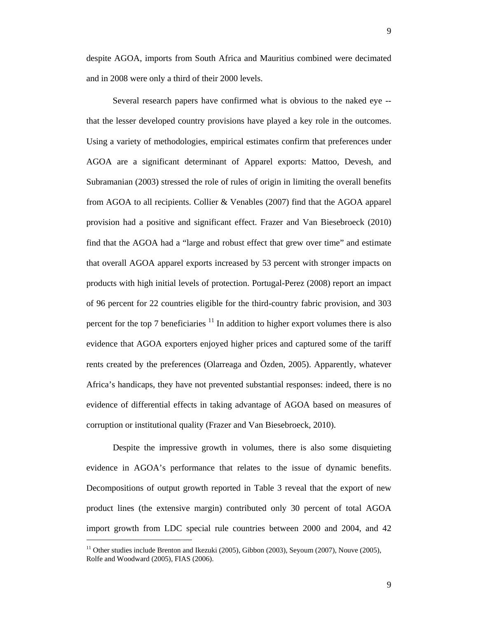9

despite AGOA, imports from South Africa and Mauritius combined were decimated and in 2008 were only a third of their 2000 levels.

Several research papers have confirmed what is obvious to the naked eye - that the lesser developed country provisions have played a key role in the outcomes. Using a variety of methodologies, empirical estimates confirm that preferences under AGOA are a significant determinant of Apparel exports: Mattoo, Devesh, and Subramanian (2003) stressed the role of rules of origin in limiting the overall benefits from AGOA to all recipients. Collier & Venables (2007) find that the AGOA apparel provision had a positive and significant effect. Frazer and Van Biesebroeck (2010) find that the AGOA had a "large and robust effect that grew over time" and estimate that overall AGOA apparel exports increased by 53 percent with stronger impacts on products with high initial levels of protection. Portugal-Perez (2008) report an impact of 96 percent for 22 countries eligible for the third-country fabric provision, and 303 percent for the top 7 beneficiaries  $11$  In addition to higher export volumes there is also evidence that AGOA exporters enjoyed higher prices and captured some of the tariff rents created by the preferences (Olarreaga and Özden, 2005). Apparently, whatever Africa's handicaps, they have not prevented substantial responses: indeed, there is no evidence of differential effects in taking advantage of AGOA based on measures of corruption or institutional quality (Frazer and Van Biesebroeck, 2010).

Despite the impressive growth in volumes, there is also some disquieting evidence in AGOA's performance that relates to the issue of dynamic benefits. Decompositions of output growth reported in Table 3 reveal that the export of new product lines (the extensive margin) contributed only 30 percent of total AGOA import growth from LDC special rule countries between 2000 and 2004, and 42

l

<sup>&</sup>lt;sup>11</sup> Other studies include Brenton and Ikezuki (2005), Gibbon (2003), Seyoum (2007), Nouve (2005), Rolfe and Woodward (2005), FIAS (2006).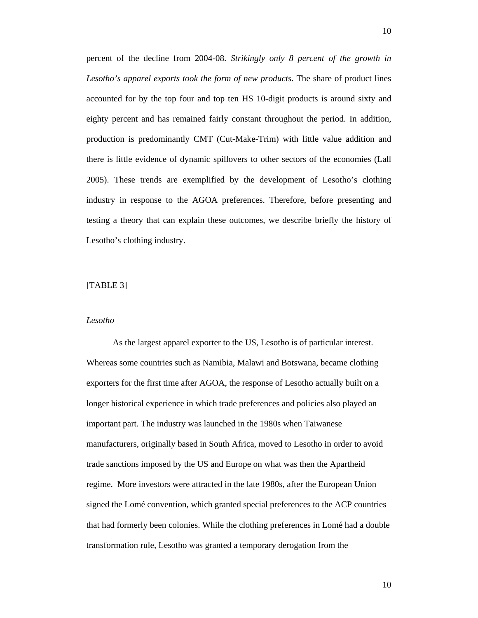percent of the decline from 2004-08. *Strikingly only 8 percent of the growth in Lesotho's apparel exports took the form of new products*. The share of product lines accounted for by the top four and top ten HS 10-digit products is around sixty and eighty percent and has remained fairly constant throughout the period. In addition, production is predominantly CMT (Cut-Make-Trim) with little value addition and there is little evidence of dynamic spillovers to other sectors of the economies (Lall 2005). These trends are exemplified by the development of Lesotho's clothing industry in response to the AGOA preferences. Therefore, before presenting and testing a theory that can explain these outcomes, we describe briefly the history of Lesotho's clothing industry.

#### [TABLE 3]

#### *Lesotho*

As the largest apparel exporter to the US, Lesotho is of particular interest. Whereas some countries such as Namibia, Malawi and Botswana, became clothing exporters for the first time after AGOA, the response of Lesotho actually built on a longer historical experience in which trade preferences and policies also played an important part. The industry was launched in the 1980s when Taiwanese manufacturers, originally based in South Africa, moved to Lesotho in order to avoid trade sanctions imposed by the US and Europe on what was then the Apartheid regime. More investors were attracted in the late 1980s, after the European Union signed the Lomé convention, which granted special preferences to the ACP countries that had formerly been colonies. While the clothing preferences in Lomé had a double transformation rule, Lesotho was granted a temporary derogation from the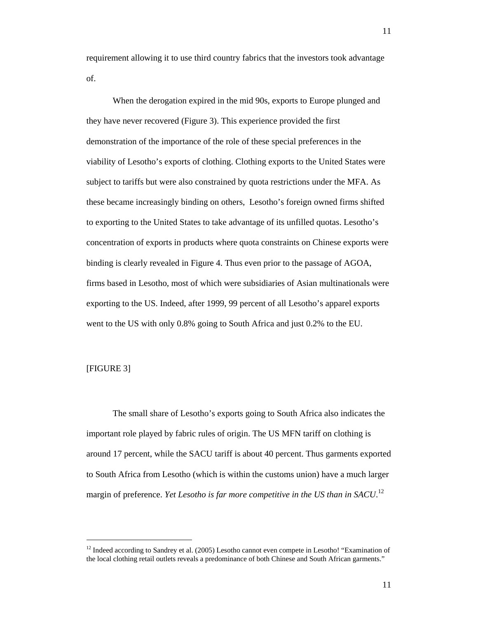requirement allowing it to use third country fabrics that the investors took advantage of.

When the derogation expired in the mid 90s, exports to Europe plunged and they have never recovered (Figure 3). This experience provided the first demonstration of the importance of the role of these special preferences in the viability of Lesotho's exports of clothing. Clothing exports to the United States were subject to tariffs but were also constrained by quota restrictions under the MFA. As these became increasingly binding on others, Lesotho's foreign owned firms shifted to exporting to the United States to take advantage of its unfilled quotas. Lesotho's concentration of exports in products where quota constraints on Chinese exports were binding is clearly revealed in Figure 4. Thus even prior to the passage of AGOA, firms based in Lesotho, most of which were subsidiaries of Asian multinationals were exporting to the US. Indeed, after 1999, 99 percent of all Lesotho's apparel exports went to the US with only 0.8% going to South Africa and just 0.2% to the EU.

## [FIGURE 3]

l

The small share of Lesotho's exports going to South Africa also indicates the important role played by fabric rules of origin. The US MFN tariff on clothing is around 17 percent, while the SACU tariff is about 40 percent. Thus garments exported to South Africa from Lesotho (which is within the customs union) have a much larger margin of preference. *Yet Lesotho is far more competitive in the US than in SACU*.<sup>12</sup>

<sup>&</sup>lt;sup>12</sup> Indeed according to Sandrey et al. (2005) Lesotho cannot even compete in Lesotho! "Examination of the local clothing retail outlets reveals a predominance of both Chinese and South African garments."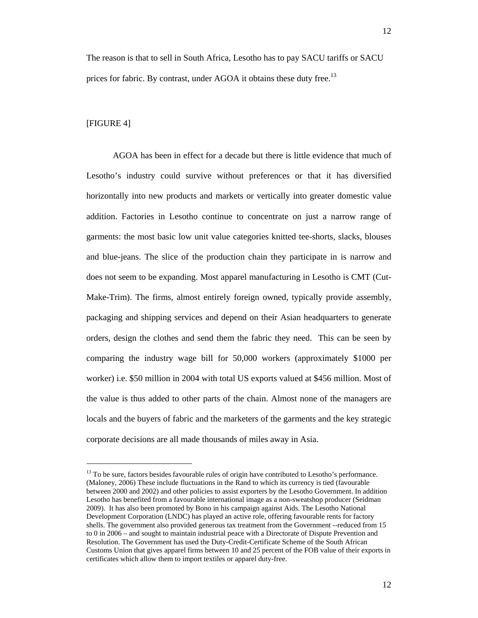The reason is that to sell in South Africa, Lesotho has to pay SACU tariffs or SACU prices for fabric. By contrast, under AGOA it obtains these duty free.<sup>13</sup>

#### [FIGURE 4]

 $\overline{a}$ 

AGOA has been in effect for a decade but there is little evidence that much of Lesotho's industry could survive without preferences or that it has diversified horizontally into new products and markets or vertically into greater domestic value addition. Factories in Lesotho continue to concentrate on just a narrow range of garments: the most basic low unit value categories knitted tee-shorts, slacks, blouses and blue-jeans. The slice of the production chain they participate in is narrow and does not seem to be expanding. Most apparel manufacturing in Lesotho is CMT (Cut-Make-Trim). The firms, almost entirely foreign owned, typically provide assembly, packaging and shipping services and depend on their Asian headquarters to generate orders, design the clothes and send them the fabric they need. This can be seen by comparing the industry wage bill for 50,000 workers (approximately \$1000 per worker) i.e. \$50 million in 2004 with total US exports valued at \$456 million. Most of the value is thus added to other parts of the chain. Almost none of the managers are locals and the buyers of fabric and the marketers of the garments and the key strategic corporate decisions are all made thousands of miles away in Asia.

<sup>&</sup>lt;sup>13</sup> To be sure, factors besides favourable rules of origin have contributed to Lesotho's performance. (Maloney, 2006) These include fluctuations in the Rand to which its currency is tied (favourable between 2000 and 2002) and other policies to assist exporters by the Lesotho Government. In addition Lesotho has benefited from a favourable international image as a non-sweatshop producer (Seidman 2009). It has also been promoted by Bono in his campaign against Aids. The Lesotho National Development Corporation (LNDC) has played an active role, offering favourable rents for factory shells. The government also provided generous tax treatment from the Government --reduced from 15 to 0 in 2006 – and sought to maintain industrial peace with a Directorate of Dispute Prevention and Resolution. The Government has used the Duty-Credit-Certificate Scheme of the South African Customs Union that gives apparel firms between 10 and 25 percent of the FOB value of their exports in certificates which allow them to import textiles or apparel duty-free.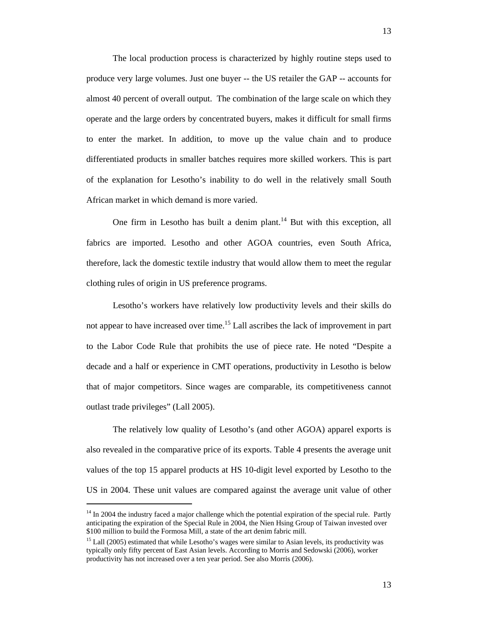The local production process is characterized by highly routine steps used to produce very large volumes. Just one buyer -- the US retailer the GAP -- accounts for almost 40 percent of overall output. The combination of the large scale on which they operate and the large orders by concentrated buyers, makes it difficult for small firms to enter the market. In addition, to move up the value chain and to produce differentiated products in smaller batches requires more skilled workers. This is part of the explanation for Lesotho's inability to do well in the relatively small South African market in which demand is more varied.

One firm in Lesotho has built a denim plant.<sup>14</sup> But with this exception, all fabrics are imported. Lesotho and other AGOA countries, even South Africa, therefore, lack the domestic textile industry that would allow them to meet the regular clothing rules of origin in US preference programs.

Lesotho's workers have relatively low productivity levels and their skills do not appear to have increased over time.<sup>15</sup> Lall ascribes the lack of improvement in part to the Labor Code Rule that prohibits the use of piece rate. He noted "Despite a decade and a half or experience in CMT operations, productivity in Lesotho is below that of major competitors. Since wages are comparable, its competitiveness cannot outlast trade privileges" (Lall 2005).

The relatively low quality of Lesotho's (and other AGOA) apparel exports is also revealed in the comparative price of its exports. Table 4 presents the average unit values of the top 15 apparel products at HS 10-digit level exported by Lesotho to the US in 2004. These unit values are compared against the average unit value of other

l

 $14$  In 2004 the industry faced a major challenge which the potential expiration of the special rule. Partly anticipating the expiration of the Special Rule in 2004, the Nien Hsing Group of Taiwan invested over \$100 million to build the Formosa Mill, a state of the art denim fabric mill.

<sup>&</sup>lt;sup>15</sup> Lall (2005) estimated that while Lesotho's wages were similar to Asian levels, its productivity was typically only fifty percent of East Asian levels. According to Morris and Sedowski (2006), worker productivity has not increased over a ten year period. See also Morris (2006).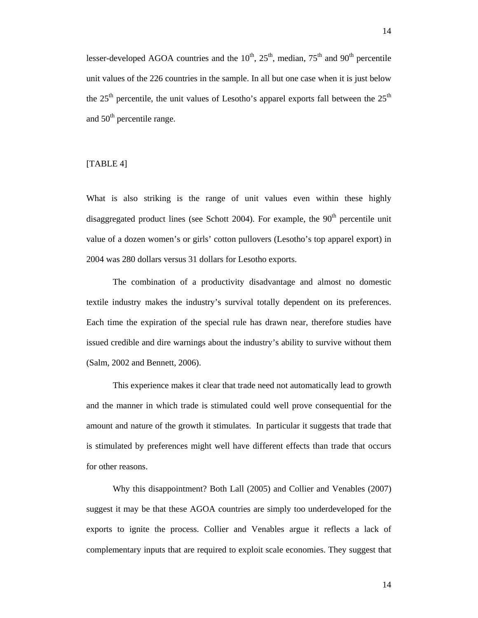lesser-developed AGOA countries and the  $10^{th}$ ,  $25^{th}$ , median,  $75^{th}$  and  $90^{th}$  percentile unit values of the 226 countries in the sample. In all but one case when it is just below the  $25<sup>th</sup>$  percentile, the unit values of Lesotho's apparel exports fall between the  $25<sup>th</sup>$ and  $50<sup>th</sup>$  percentile range.

## [TABLE 4]

What is also striking is the range of unit values even within these highly disaggregated product lines (see Schott 2004). For example, the  $90<sup>th</sup>$  percentile unit value of a dozen women's or girls' cotton pullovers (Lesotho's top apparel export) in 2004 was 280 dollars versus 31 dollars for Lesotho exports.

The combination of a productivity disadvantage and almost no domestic textile industry makes the industry's survival totally dependent on its preferences. Each time the expiration of the special rule has drawn near, therefore studies have issued credible and dire warnings about the industry's ability to survive without them (Salm, 2002 and Bennett, 2006).

This experience makes it clear that trade need not automatically lead to growth and the manner in which trade is stimulated could well prove consequential for the amount and nature of the growth it stimulates. In particular it suggests that trade that is stimulated by preferences might well have different effects than trade that occurs for other reasons.

Why this disappointment? Both Lall (2005) and Collier and Venables (2007) suggest it may be that these AGOA countries are simply too underdeveloped for the exports to ignite the process. Collier and Venables argue it reflects a lack of complementary inputs that are required to exploit scale economies. They suggest that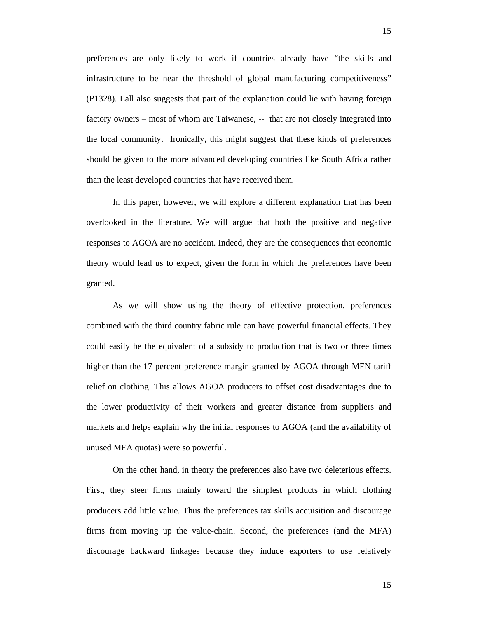preferences are only likely to work if countries already have "the skills and infrastructure to be near the threshold of global manufacturing competitiveness" (P1328). Lall also suggests that part of the explanation could lie with having foreign factory owners – most of whom are Taiwanese, -- that are not closely integrated into the local community. Ironically, this might suggest that these kinds of preferences should be given to the more advanced developing countries like South Africa rather than the least developed countries that have received them.

In this paper, however, we will explore a different explanation that has been overlooked in the literature. We will argue that both the positive and negative responses to AGOA are no accident. Indeed, they are the consequences that economic theory would lead us to expect, given the form in which the preferences have been granted.

As we will show using the theory of effective protection, preferences combined with the third country fabric rule can have powerful financial effects. They could easily be the equivalent of a subsidy to production that is two or three times higher than the 17 percent preference margin granted by AGOA through MFN tariff relief on clothing. This allows AGOA producers to offset cost disadvantages due to the lower productivity of their workers and greater distance from suppliers and markets and helps explain why the initial responses to AGOA (and the availability of unused MFA quotas) were so powerful.

On the other hand, in theory the preferences also have two deleterious effects. First, they steer firms mainly toward the simplest products in which clothing producers add little value. Thus the preferences tax skills acquisition and discourage firms from moving up the value-chain. Second, the preferences (and the MFA) discourage backward linkages because they induce exporters to use relatively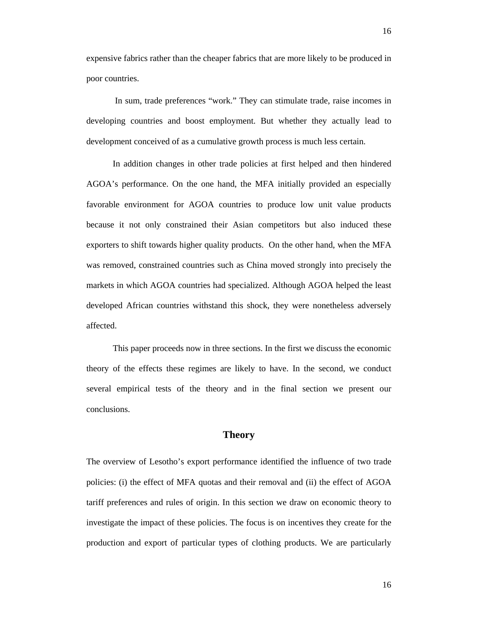expensive fabrics rather than the cheaper fabrics that are more likely to be produced in poor countries.

 In sum, trade preferences "work." They can stimulate trade, raise incomes in developing countries and boost employment. But whether they actually lead to development conceived of as a cumulative growth process is much less certain.

In addition changes in other trade policies at first helped and then hindered AGOA's performance. On the one hand, the MFA initially provided an especially favorable environment for AGOA countries to produce low unit value products because it not only constrained their Asian competitors but also induced these exporters to shift towards higher quality products. On the other hand, when the MFA was removed, constrained countries such as China moved strongly into precisely the markets in which AGOA countries had specialized. Although AGOA helped the least developed African countries withstand this shock, they were nonetheless adversely affected.

This paper proceeds now in three sections. In the first we discuss the economic theory of the effects these regimes are likely to have. In the second, we conduct several empirical tests of the theory and in the final section we present our conclusions.

## **Theory**

The overview of Lesotho's export performance identified the influence of two trade policies: (i) the effect of MFA quotas and their removal and (ii) the effect of AGOA tariff preferences and rules of origin. In this section we draw on economic theory to investigate the impact of these policies. The focus is on incentives they create for the production and export of particular types of clothing products. We are particularly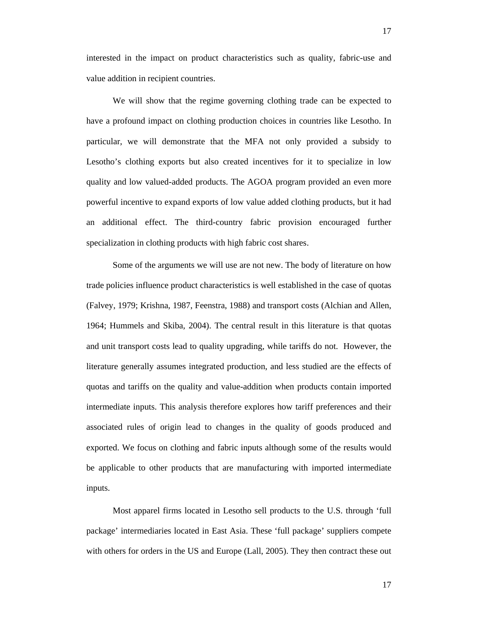interested in the impact on product characteristics such as quality, fabric-use and value addition in recipient countries.

We will show that the regime governing clothing trade can be expected to have a profound impact on clothing production choices in countries like Lesotho. In particular, we will demonstrate that the MFA not only provided a subsidy to Lesotho's clothing exports but also created incentives for it to specialize in low quality and low valued-added products. The AGOA program provided an even more powerful incentive to expand exports of low value added clothing products, but it had an additional effect. The third-country fabric provision encouraged further specialization in clothing products with high fabric cost shares.

Some of the arguments we will use are not new. The body of literature on how trade policies influence product characteristics is well established in the case of quotas (Falvey, 1979; Krishna, 1987, Feenstra, 1988) and transport costs (Alchian and Allen, 1964; Hummels and Skiba, 2004). The central result in this literature is that quotas and unit transport costs lead to quality upgrading, while tariffs do not. However, the literature generally assumes integrated production, and less studied are the effects of quotas and tariffs on the quality and value-addition when products contain imported intermediate inputs. This analysis therefore explores how tariff preferences and their associated rules of origin lead to changes in the quality of goods produced and exported. We focus on clothing and fabric inputs although some of the results would be applicable to other products that are manufacturing with imported intermediate inputs.

Most apparel firms located in Lesotho sell products to the U.S. through 'full package' intermediaries located in East Asia. These 'full package' suppliers compete with others for orders in the US and Europe (Lall, 2005). They then contract these out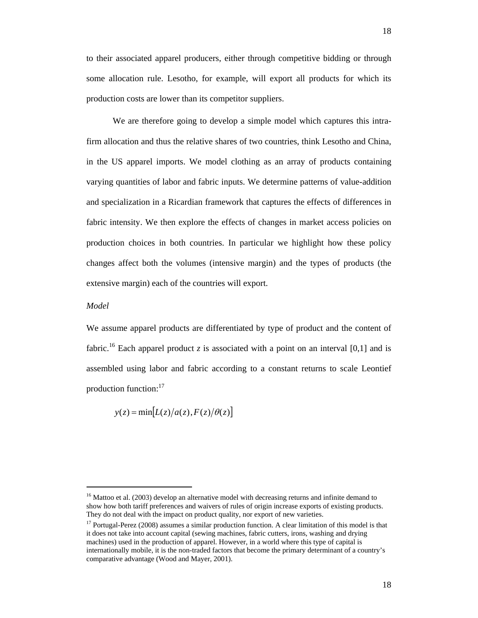We are therefore going to develop a simple model which captures this intrafirm allocation and thus the relative shares of two countries, think Lesotho and China, in the US apparel imports. We model clothing as an array of products containing varying quantities of labor and fabric inputs. We determine patterns of value-addition and specialization in a Ricardian framework that captures the effects of differences in fabric intensity. We then explore the effects of changes in market access policies on production choices in both countries. In particular we highlight how these policy changes affect both the volumes (intensive margin) and the types of products (the extensive margin) each of the countries will export.

## *Model*

We assume apparel products are differentiated by type of product and the content of fabric.<sup>16</sup> Each apparel product *z* is associated with a point on an interval [0,1] and is assembled using labor and fabric according to a constant returns to scale Leontief production function:17

$$
y(z) = \min[L(z)/a(z), F(z)/\theta(z)]
$$

 $16$  Mattoo et al. (2003) develop an alternative model with decreasing returns and infinite demand to show how both tariff preferences and waivers of rules of origin increase exports of existing products. They do not deal with the impact on product quality, nor export of new varieties.

 $17$  Portugal-Perez (2008) assumes a similar production function. A clear limitation of this model is that it does not take into account capital (sewing machines, fabric cutters, irons, washing and drying machines) used in the production of apparel. However, in a world where this type of capital is internationally mobile, it is the non-traded factors that become the primary determinant of a country's comparative advantage (Wood and Mayer, 2001).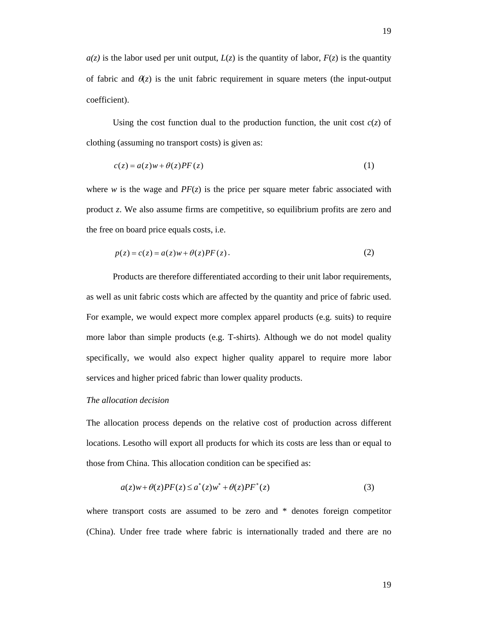$a(z)$  is the labor used per unit output,  $L(z)$  is the quantity of labor,  $F(z)$  is the quantity of fabric and  $\theta(z)$  is the unit fabric requirement in square meters (the input-output coefficient).

Using the cost function dual to the production function, the unit cost  $c(z)$  of clothing (assuming no transport costs) is given as:

$$
c(z) = a(z)w + \theta(z)PF(z)
$$
 (1)

where *w* is the wage and  $PF(z)$  is the price per square meter fabric associated with product *z*. We also assume firms are competitive, so equilibrium profits are zero and the free on board price equals costs, i.e.

$$
p(z) = c(z) = a(z)w + \theta(z)PF(z).
$$
 (2)

Products are therefore differentiated according to their unit labor requirements, as well as unit fabric costs which are affected by the quantity and price of fabric used. For example, we would expect more complex apparel products (e.g. suits) to require more labor than simple products (e.g. T-shirts). Although we do not model quality specifically, we would also expect higher quality apparel to require more labor services and higher priced fabric than lower quality products.

## *The allocation decision*

The allocation process depends on the relative cost of production across different locations. Lesotho will export all products for which its costs are less than or equal to those from China. This allocation condition can be specified as:

$$
a(z)w + \theta(z)PF(z) \le a^*(z)w^* + \theta(z)PF^*(z)
$$
\n(3)

where transport costs are assumed to be zero and \* denotes foreign competitor (China). Under free trade where fabric is internationally traded and there are no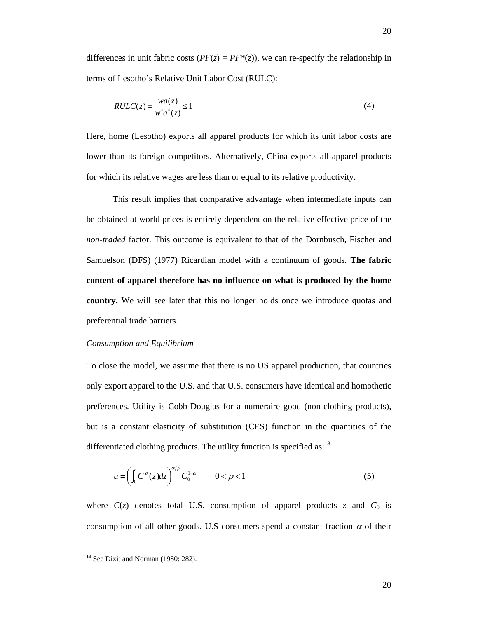differences in unit fabric costs  $(PF(z) = PF^*(z))$ , we can re-specify the relationship in terms of Lesotho's Relative Unit Labor Cost (RULC):

$$
RULC(z) = \frac{wa(z)}{w^* a^*(z)} \le 1\tag{4}
$$

Here, home (Lesotho) exports all apparel products for which its unit labor costs are lower than its foreign competitors. Alternatively, China exports all apparel products for which its relative wages are less than or equal to its relative productivity.

This result implies that comparative advantage when intermediate inputs can be obtained at world prices is entirely dependent on the relative effective price of the *non-traded* factor. This outcome is equivalent to that of the Dornbusch, Fischer and Samuelson (DFS) (1977) Ricardian model with a continuum of goods. **The fabric content of apparel therefore has no influence on what is produced by the home country.** We will see later that this no longer holds once we introduce quotas and preferential trade barriers.

#### *Consumption and Equilibrium*

To close the model, we assume that there is no US apparel production, that countries only export apparel to the U.S. and that U.S. consumers have identical and homothetic preferences. Utility is Cobb-Douglas for a numeraire good (non-clothing products), but is a constant elasticity of substitution (CES) function in the quantities of the differentiated clothing products. The utility function is specified as: $18$ 

$$
u = \left(\int_0^1 C^{\rho}(z)dz\right)^{\alpha/\rho} C_0^{1-\alpha} \qquad 0 < \rho < 1
$$
 (5)

where  $C(z)$  denotes total U.S. consumption of apparel products  $z$  and  $C_0$  is consumption of all other goods. U.S consumers spend a constant fraction  $\alpha$  of their

l

<sup>&</sup>lt;sup>18</sup> See Dixit and Norman (1980: 282).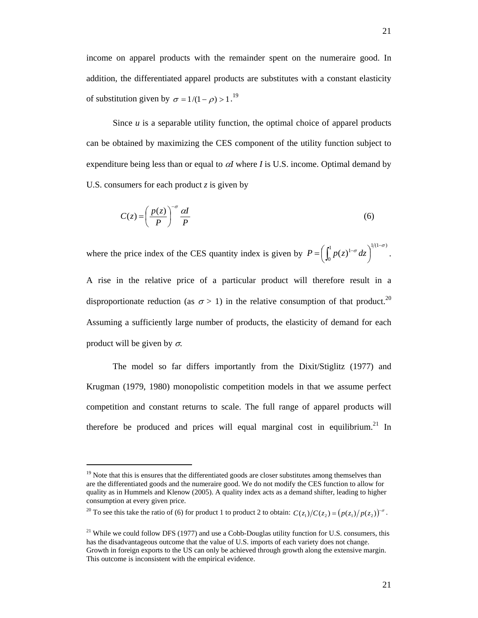Since *u* is a separable utility function, the optimal choice of apparel products can be obtained by maximizing the CES component of the utility function subject to expenditure being less than or equal to  $\alpha I$  where *I* is U.S. income. Optimal demand by U.S. consumers for each product *z* is given by

$$
C(z) = \left(\frac{p(z)}{P}\right)^{-\sigma} \frac{\alpha I}{P}
$$
 (6)

where the price index of the CES quantity index is given by 1  $\frac{1}{(1-\sigma)}$  $P = \left( \int_0^1 p(z)^{1-\sigma} dz \right)^{1/(1-\sigma)}.$ 

A rise in the relative price of a particular product will therefore result in a disproportionate reduction (as  $\sigma > 1$ ) in the relative consumption of that product.<sup>20</sup> Assuming a sufficiently large number of products, the elasticity of demand for each product will be given by  $\sigma$ .

The model so far differs importantly from the Dixit/Stiglitz (1977) and Krugman (1979, 1980) monopolistic competition models in that we assume perfect competition and constant returns to scale. The full range of apparel products will therefore be produced and prices will equal marginal cost in equilibrium.<sup>21</sup> In

 $\overline{a}$ 

 $19$  Note that this is ensures that the differentiated goods are closer substitutes among themselves than are the differentiated goods and the numeraire good. We do not modify the CES function to allow for quality as in Hummels and Klenow (2005). A quality index acts as a demand shifter, leading to higher consumption at every given price.

<sup>&</sup>lt;sup>20</sup> To see this take the ratio of (6) for product 1 to product 2 to obtain:  $C(z_1)/C(z_2) = (p(z_1)/p(z_2))^{-\sigma}$ .

<sup>&</sup>lt;sup>21</sup> While we could follow DFS (1977) and use a Cobb-Douglas utility function for U.S. consumers, this has the disadvantageous outcome that the value of U.S. imports of each variety does not change. Growth in foreign exports to the US can only be achieved through growth along the extensive margin. This outcome is inconsistent with the empirical evidence.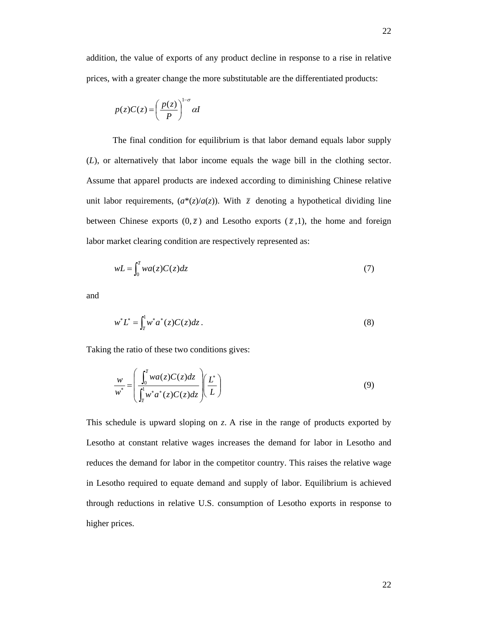addition, the value of exports of any product decline in response to a rise in relative prices, with a greater change the more substitutable are the differentiated products:

$$
p(z)C(z) = \left(\frac{p(z)}{P}\right)^{1-\sigma} \alpha I
$$

The final condition for equilibrium is that labor demand equals labor supply (*L*), or alternatively that labor income equals the wage bill in the clothing sector. Assume that apparel products are indexed according to diminishing Chinese relative unit labor requirements,  $(a^*(z)/a(z))$ . With  $\overline{z}$  denoting a hypothetical dividing line between Chinese exports  $(0, \overline{z})$  and Lesotho exports  $(\overline{z}, 1)$ , the home and foreign labor market clearing condition are respectively represented as:

$$
wL = \int_0^{\overline{z}} wa(z)C(z)dz
$$
 (7)

and

$$
w^* L^* = \int_{\bar{z}}^1 w^* a^*(z) C(z) dz.
$$
 (8)

Taking the ratio of these two conditions gives:

$$
\frac{w}{w^*} = \left(\frac{\int_0^{\overline{z}} wa(z)C(z)dz}{\int_{\overline{z}}^1 w^* a^*(z)C(z)dz}\right) \left(\frac{L^*}{L}\right)
$$
\n(9)

This schedule is upward sloping on *z*. A rise in the range of products exported by Lesotho at constant relative wages increases the demand for labor in Lesotho and reduces the demand for labor in the competitor country. This raises the relative wage in Lesotho required to equate demand and supply of labor. Equilibrium is achieved through reductions in relative U.S. consumption of Lesotho exports in response to higher prices.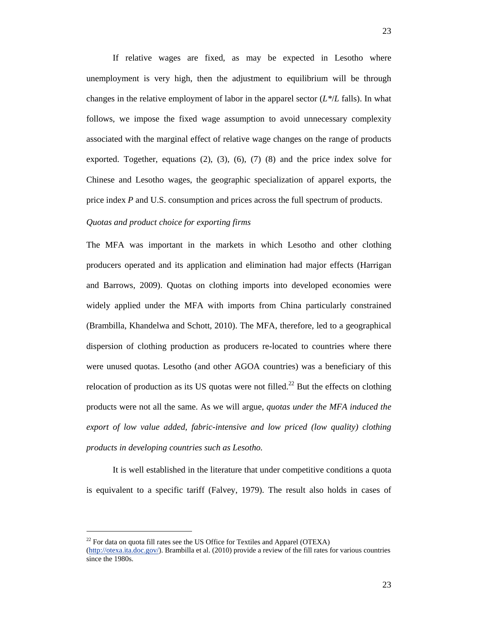If relative wages are fixed, as may be expected in Lesotho where unemployment is very high, then the adjustment to equilibrium will be through changes in the relative employment of labor in the apparel sector  $(L^*/L)$  falls). In what follows, we impose the fixed wage assumption to avoid unnecessary complexity associated with the marginal effect of relative wage changes on the range of products exported. Together, equations  $(2)$ ,  $(3)$ ,  $(6)$ ,  $(7)$   $(8)$  and the price index solve for Chinese and Lesotho wages, the geographic specialization of apparel exports, the price index *P* and U.S. consumption and prices across the full spectrum of products.

## *Quotas and product choice for exporting firms*

The MFA was important in the markets in which Lesotho and other clothing producers operated and its application and elimination had major effects (Harrigan and Barrows, 2009). Quotas on clothing imports into developed economies were widely applied under the MFA with imports from China particularly constrained (Brambilla, Khandelwa and Schott, 2010). The MFA, therefore, led to a geographical dispersion of clothing production as producers re-located to countries where there were unused quotas. Lesotho (and other AGOA countries) was a beneficiary of this relocation of production as its US quotas were not filled.<sup>22</sup> But the effects on clothing products were not all the same. As we will argue, *quotas under the MFA induced the export of low value added, fabric-intensive and low priced (low quality) clothing products in developing countries such as Lesotho.* 

It is well established in the literature that under competitive conditions a quota is equivalent to a specific tariff (Falvey, 1979). The result also holds in cases of

l

 $^{22}$  For data on quota fill rates see the US Office for Textiles and Apparel (OTEXA)

<sup>(</sup>http://otexa.ita.doc.gov/). Brambilla et al. (2010) provide a review of the fill rates for various countries since the 1980s.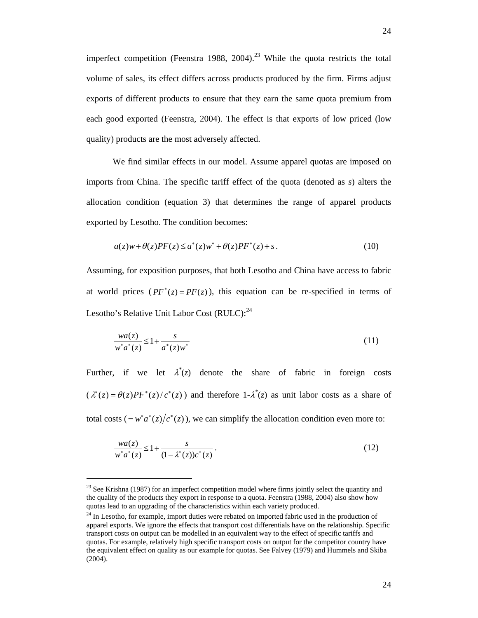imperfect competition (Feenstra 1988, 2004).<sup>23</sup> While the quota restricts the total volume of sales, its effect differs across products produced by the firm. Firms adjust exports of different products to ensure that they earn the same quota premium from each good exported (Feenstra, 2004). The effect is that exports of low priced (low quality) products are the most adversely affected.

We find similar effects in our model. Assume apparel quotas are imposed on imports from China. The specific tariff effect of the quota (denoted as *s*) alters the allocation condition (equation 3) that determines the range of apparel products exported by Lesotho. The condition becomes:

$$
a(z)w + \theta(z)PF(z) \le a^*(z)w^* + \theta(z)PF^*(z) + s. \tag{10}
$$

Assuming, for exposition purposes, that both Lesotho and China have access to fabric at world prices  $(PF^*(z) = PF(z))$ , this equation can be re-specified in terms of Lesotho's Relative Unit Labor Cost  $(RULC)$ :<sup>24</sup>

$$
\frac{wa(z)}{w^*a^*(z)} \le 1 + \frac{s}{a^*(z)w^*}
$$
\n(11)

Further, if we let  $\lambda^*(z)$  denote the share of fabric in foreign costs  $(\lambda^*(z) = \theta(z)PF^*(z)/c^*(z))$  and therefore  $1-\lambda^*(z)$  as unit labor costs as a share of total costs  $( = w^* a^* (z) / c^* (z) )$ , we can simplify the allocation condition even more to:

$$
\frac{wa(z)}{w^*a^*(z)} \le 1 + \frac{s}{(1 - \lambda^*(z))c^*(z)}.
$$
\n(12)

 $\overline{a}$ 

 $23$  See Krishna (1987) for an imperfect competition model where firms jointly select the quantity and the quality of the products they export in response to a quota. Feenstra (1988, 2004) also show how quotas lead to an upgrading of the characteristics within each variety produced.

<sup>&</sup>lt;sup>24</sup> In Lesotho, for example, import duties were rebated on imported fabric used in the production of apparel exports. We ignore the effects that transport cost differentials have on the relationship. Specific transport costs on output can be modelled in an equivalent way to the effect of specific tariffs and quotas. For example, relatively high specific transport costs on output for the competitor country have the equivalent effect on quality as our example for quotas. See Falvey (1979) and Hummels and Skiba (2004).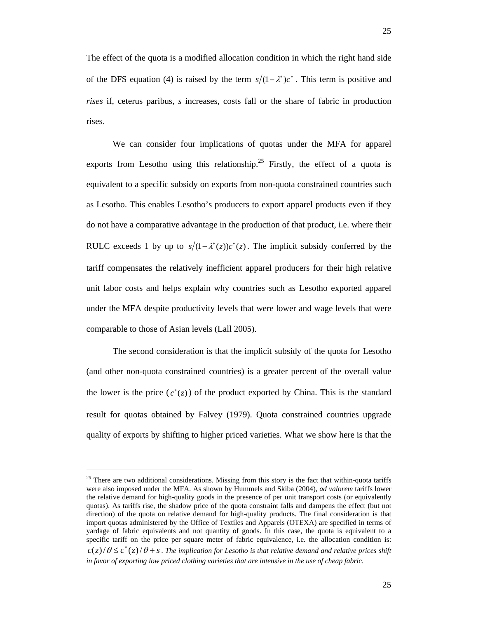The effect of the quota is a modified allocation condition in which the right hand side of the DFS equation (4) is raised by the term  $s/(1-\lambda^*)c^*$ . This term is positive and *rises* if, ceterus paribus, *s* increases, costs fall or the share of fabric in production rises.

We can consider four implications of quotas under the MFA for apparel exports from Lesotho using this relationship.<sup>25</sup> Firstly, the effect of a quota is equivalent to a specific subsidy on exports from non-quota constrained countries such as Lesotho. This enables Lesotho's producers to export apparel products even if they do not have a comparative advantage in the production of that product, i.e. where their RULC exceeds 1 by up to  $s/(1-\lambda^*(z))c^*(z)$ . The implicit subsidy conferred by the tariff compensates the relatively inefficient apparel producers for their high relative unit labor costs and helps explain why countries such as Lesotho exported apparel under the MFA despite productivity levels that were lower and wage levels that were comparable to those of Asian levels (Lall 2005).

The second consideration is that the implicit subsidy of the quota for Lesotho (and other non-quota constrained countries) is a greater percent of the overall value the lower is the price  $(c^*(z))$  of the product exported by China. This is the standard result for quotas obtained by Falvey (1979). Quota constrained countries upgrade quality of exports by shifting to higher priced varieties. What we show here is that the

 $\overline{a}$ 

 $25$  There are two additional considerations. Missing from this story is the fact that within-quota tariffs were also imposed under the MFA. As shown by Hummels and Skiba (2004), *ad valorem* tariffs lower the relative demand for high-quality goods in the presence of per unit transport costs (or equivalently quotas). As tariffs rise, the shadow price of the quota constraint falls and dampens the effect (but not direction) of the quota on relative demand for high-quality products. The final consideration is that import quotas administered by the Office of Textiles and Apparels (OTEXA) are specified in terms of yardage of fabric equivalents and not quantity of goods. In this case, the quota is equivalent to a specific tariff on the price per square meter of fabric equivalence, i.e. the allocation condition is:  $c(z)/\theta \leq c^*(z)/\theta + s$ . The implication for Lesotho is that relative demand and relative prices shift *in favor of exporting low priced clothing varieties that are intensive in the use of cheap fabric.*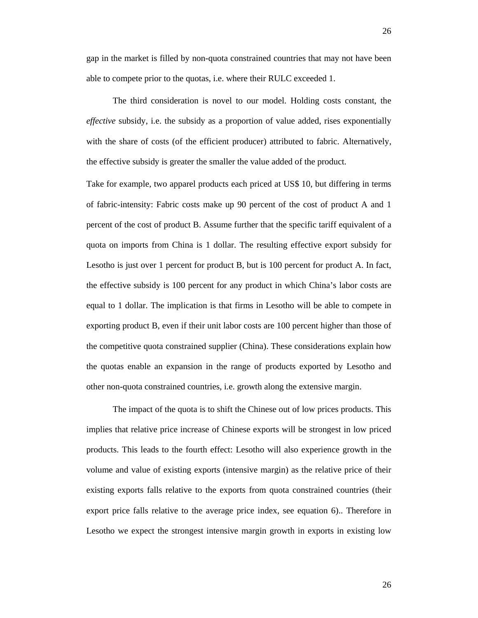The third consideration is novel to our model. Holding costs constant, the *effective* subsidy, i.e. the subsidy as a proportion of value added, rises exponentially with the share of costs (of the efficient producer) attributed to fabric. Alternatively, the effective subsidy is greater the smaller the value added of the product.

Take for example, two apparel products each priced at US\$ 10, but differing in terms of fabric-intensity: Fabric costs make up 90 percent of the cost of product A and 1 percent of the cost of product B. Assume further that the specific tariff equivalent of a quota on imports from China is 1 dollar. The resulting effective export subsidy for Lesotho is just over 1 percent for product B, but is 100 percent for product A. In fact, the effective subsidy is 100 percent for any product in which China's labor costs are equal to 1 dollar. The implication is that firms in Lesotho will be able to compete in exporting product B, even if their unit labor costs are 100 percent higher than those of the competitive quota constrained supplier (China). These considerations explain how the quotas enable an expansion in the range of products exported by Lesotho and other non-quota constrained countries, i.e. growth along the extensive margin.

The impact of the quota is to shift the Chinese out of low prices products. This implies that relative price increase of Chinese exports will be strongest in low priced products. This leads to the fourth effect: Lesotho will also experience growth in the volume and value of existing exports (intensive margin) as the relative price of their existing exports falls relative to the exports from quota constrained countries (their export price falls relative to the average price index, see equation 6).. Therefore in Lesotho we expect the strongest intensive margin growth in exports in existing low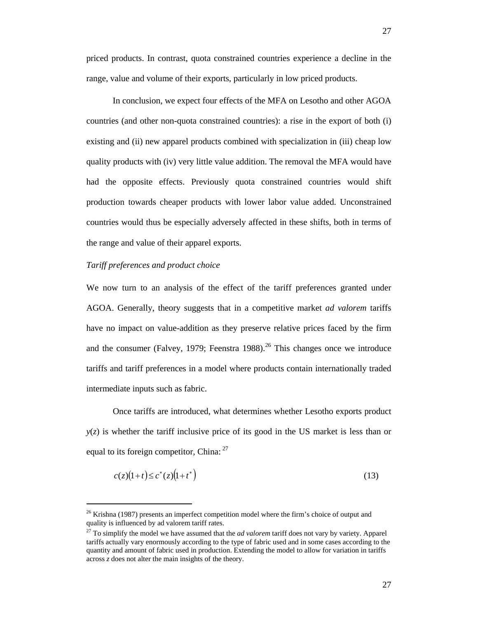In conclusion, we expect four effects of the MFA on Lesotho and other AGOA countries (and other non-quota constrained countries): a rise in the export of both (i) existing and (ii) new apparel products combined with specialization in (iii) cheap low quality products with (iv) very little value addition. The removal the MFA would have had the opposite effects. Previously quota constrained countries would shift production towards cheaper products with lower labor value added. Unconstrained countries would thus be especially adversely affected in these shifts, both in terms of the range and value of their apparel exports.

#### *Tariff preferences and product choice*

l

We now turn to an analysis of the effect of the tariff preferences granted under AGOA. Generally, theory suggests that in a competitive market *ad valorem* tariffs have no impact on value-addition as they preserve relative prices faced by the firm and the consumer (Falvey, 1979; Feenstra 1988).<sup>26</sup> This changes once we introduce tariffs and tariff preferences in a model where products contain internationally traded intermediate inputs such as fabric.

Once tariffs are introduced, what determines whether Lesotho exports product  $y(z)$  is whether the tariff inclusive price of its good in the US market is less than or equal to its foreign competitor, China:  $27$ 

$$
c(z)(1+t) \le c^*(z)(1+t^*)
$$
\n(13)

 $26$  Krishna (1987) presents an imperfect competition model where the firm's choice of output and quality is influenced by ad valorem tariff rates.

<sup>27</sup> To simplify the model we have assumed that the *ad valorem* tariff does not vary by variety. Apparel tariffs actually vary enormously according to the type of fabric used and in some cases according to the quantity and amount of fabric used in production. Extending the model to allow for variation in tariffs across *z* does not alter the main insights of the theory.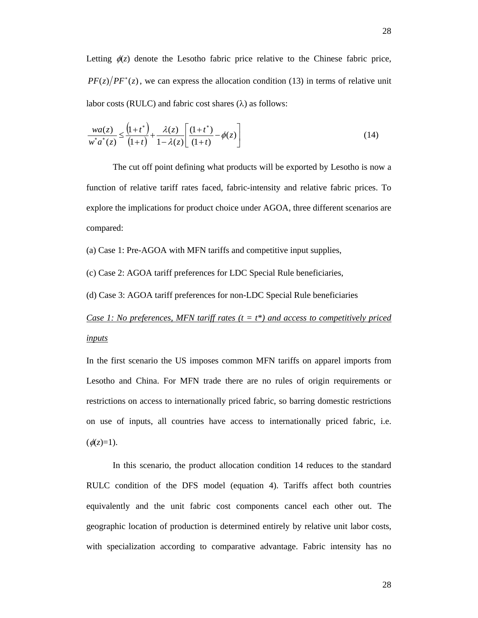Letting  $\phi(z)$  denote the Lesotho fabric price relative to the Chinese fabric price,  $PF(z)/PF^*(z)$ , we can express the allocation condition (13) in terms of relative unit labor costs (RULC) and fabric cost shares  $(\lambda)$  as follows:

$$
\frac{wa(z)}{w^*a^*(z)} \le \frac{\left(1+t^*\right)}{\left(1+t\right)} + \frac{\lambda(z)}{1-\lambda(z)} \left[\frac{\left(1+t^*\right)}{\left(1+t\right)} - \phi(z)\right] \tag{14}
$$

The cut off point defining what products will be exported by Lesotho is now a function of relative tariff rates faced, fabric-intensity and relative fabric prices. To explore the implications for product choice under AGOA, three different scenarios are compared:

(a) Case 1: Pre-AGOA with MFN tariffs and competitive input supplies,

(c) Case 2: AGOA tariff preferences for LDC Special Rule beneficiaries,

(d) Case 3: AGOA tariff preferences for non-LDC Special Rule beneficiaries

*Case 1: No preferences, MFN tariff rates (t = t\*) and access to competitively priced inputs*

In the first scenario the US imposes common MFN tariffs on apparel imports from Lesotho and China. For MFN trade there are no rules of origin requirements or restrictions on access to internationally priced fabric, so barring domestic restrictions on use of inputs, all countries have access to internationally priced fabric, i.e.  $(\phi(z)=1)$ .

In this scenario, the product allocation condition 14 reduces to the standard RULC condition of the DFS model (equation 4). Tariffs affect both countries equivalently and the unit fabric cost components cancel each other out. The geographic location of production is determined entirely by relative unit labor costs, with specialization according to comparative advantage. Fabric intensity has no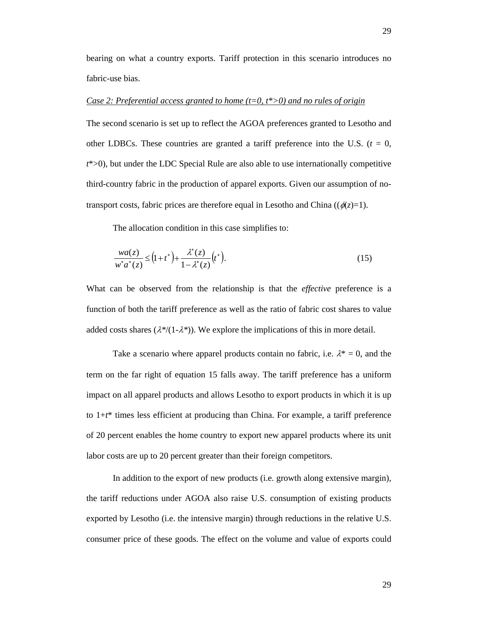bearing on what a country exports. Tariff protection in this scenario introduces no fabric-use bias.

#### *Case 2: Preferential access granted to home (t=0, t\*>0) and no rules of origin*

The second scenario is set up to reflect the AGOA preferences granted to Lesotho and other LDBCs. These countries are granted a tariff preference into the U.S.  $(t = 0,$ *t*\*>0), but under the LDC Special Rule are also able to use internationally competitive third-country fabric in the production of apparel exports. Given our assumption of notransport costs, fabric prices are therefore equal in Lesotho and China ( $(\phi(z)=1)$ ).

The allocation condition in this case simplifies to:

$$
\frac{wa(z)}{w^*a^*(z)} \le (1+t^*) + \frac{\lambda^*(z)}{1-\lambda^*(z)} \left(t^*\right). \tag{15}
$$

What can be observed from the relationship is that the *effective* preference is a function of both the tariff preference as well as the ratio of fabric cost shares to value added costs shares  $(\lambda^*/(1-\lambda^*))$ . We explore the implications of this in more detail.

Take a scenario where apparel products contain no fabric, i.e.  $\lambda^* = 0$ , and the term on the far right of equation 15 falls away. The tariff preference has a uniform impact on all apparel products and allows Lesotho to export products in which it is up to 1+*t*\* times less efficient at producing than China. For example, a tariff preference of 20 percent enables the home country to export new apparel products where its unit labor costs are up to 20 percent greater than their foreign competitors.

In addition to the export of new products (i.e. growth along extensive margin), the tariff reductions under AGOA also raise U.S. consumption of existing products exported by Lesotho (i.e. the intensive margin) through reductions in the relative U.S. consumer price of these goods. The effect on the volume and value of exports could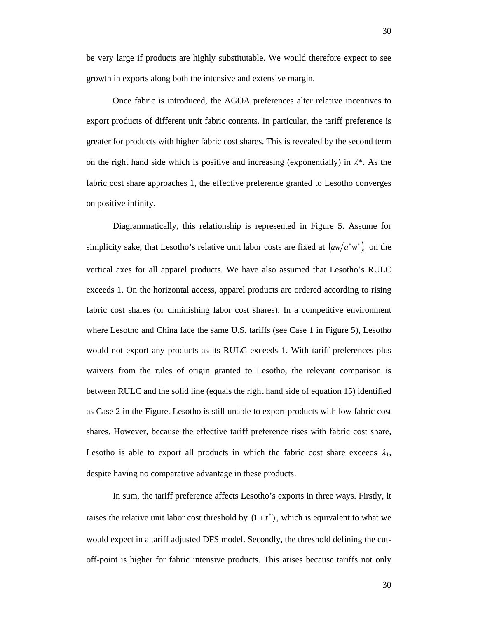be very large if products are highly substitutable. We would therefore expect to see growth in exports along both the intensive and extensive margin.

Once fabric is introduced, the AGOA preferences alter relative incentives to export products of different unit fabric contents. In particular, the tariff preference is greater for products with higher fabric cost shares. This is revealed by the second term on the right hand side which is positive and increasing (exponentially) in  $\lambda^*$ . As the fabric cost share approaches 1, the effective preference granted to Lesotho converges on positive infinity.

Diagrammatically, this relationship is represented in Figure 5. Assume for simplicity sake, that Lesotho's relative unit labor costs are fixed at  $\left(\frac{aw}{a^*w^*}\right)_1$  on the vertical axes for all apparel products. We have also assumed that Lesotho's RULC exceeds 1. On the horizontal access, apparel products are ordered according to rising fabric cost shares (or diminishing labor cost shares). In a competitive environment where Lesotho and China face the same U.S. tariffs (see Case 1 in Figure 5), Lesotho would not export any products as its RULC exceeds 1. With tariff preferences plus waivers from the rules of origin granted to Lesotho, the relevant comparison is between RULC and the solid line (equals the right hand side of equation 15) identified as Case 2 in the Figure. Lesotho is still unable to export products with low fabric cost shares. However, because the effective tariff preference rises with fabric cost share, Lesotho is able to export all products in which the fabric cost share exceeds  $\lambda_1$ , despite having no comparative advantage in these products.

In sum, the tariff preference affects Lesotho's exports in three ways. Firstly, it raises the relative unit labor cost threshold by  $(1 + t^*)$ , which is equivalent to what we would expect in a tariff adjusted DFS model. Secondly, the threshold defining the cutoff-point is higher for fabric intensive products. This arises because tariffs not only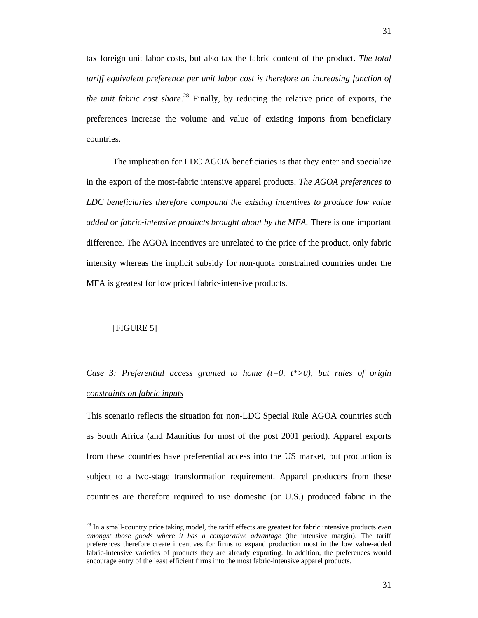tax foreign unit labor costs, but also tax the fabric content of the product. *The total tariff equivalent preference per unit labor cost is therefore an increasing function of the unit fabric cost share*. 28 Finally, by reducing the relative price of exports, the preferences increase the volume and value of existing imports from beneficiary countries.

The implication for LDC AGOA beneficiaries is that they enter and specialize in the export of the most-fabric intensive apparel products. *The AGOA preferences to LDC beneficiaries therefore compound the existing incentives to produce low value added or fabric-intensive products brought about by the MFA.* There is one important difference. The AGOA incentives are unrelated to the price of the product, only fabric intensity whereas the implicit subsidy for non-quota constrained countries under the MFA is greatest for low priced fabric-intensive products.

#### [FIGURE 5]

l

# *Case 3: Preferential access granted to home (t=0, t\*>0), but rules of origin constraints on fabric inputs*

This scenario reflects the situation for non-LDC Special Rule AGOA countries such as South Africa (and Mauritius for most of the post 2001 period). Apparel exports from these countries have preferential access into the US market, but production is subject to a two-stage transformation requirement. Apparel producers from these countries are therefore required to use domestic (or U.S.) produced fabric in the

<sup>28</sup> In a small-country price taking model, the tariff effects are greatest for fabric intensive products *even amongst those goods where it has a comparative advantage* (the intensive margin). The tariff preferences therefore create incentives for firms to expand production most in the low value-added fabric-intensive varieties of products they are already exporting. In addition, the preferences would encourage entry of the least efficient firms into the most fabric-intensive apparel products.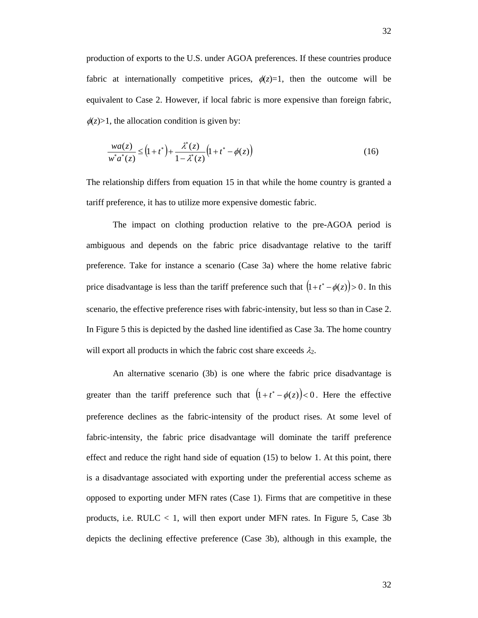production of exports to the U.S. under AGOA preferences. If these countries produce fabric at internationally competitive prices,  $\phi(z)=1$ , then the outcome will be equivalent to Case 2. However, if local fabric is more expensive than foreign fabric,  $\phi(z)$ >1, the allocation condition is given by:

$$
\frac{wa(z)}{w^*a^*(z)} \le (1+t^*) + \frac{\lambda^*(z)}{1-\lambda^*(z)} \left(1+t^* - \phi(z)\right)
$$
\n(16)

The relationship differs from equation 15 in that while the home country is granted a tariff preference, it has to utilize more expensive domestic fabric.

The impact on clothing production relative to the pre-AGOA period is ambiguous and depends on the fabric price disadvantage relative to the tariff preference. Take for instance a scenario (Case 3a) where the home relative fabric price disadvantage is less than the tariff preference such that  $(1+t^* - \phi(z)) > 0$ . In this scenario, the effective preference rises with fabric-intensity, but less so than in Case 2. In Figure 5 this is depicted by the dashed line identified as Case 3a. The home country will export all products in which the fabric cost share exceeds  $\lambda_2$ .

An alternative scenario (3b) is one where the fabric price disadvantage is greater than the tariff preference such that  $(1 + t^* - \phi(z)) < 0$ . Here the effective preference declines as the fabric-intensity of the product rises. At some level of fabric-intensity, the fabric price disadvantage will dominate the tariff preference effect and reduce the right hand side of equation (15) to below 1. At this point, there is a disadvantage associated with exporting under the preferential access scheme as opposed to exporting under MFN rates (Case 1). Firms that are competitive in these products, i.e.  $RULC < 1$ , will then export under MFN rates. In Figure 5, Case 3b depicts the declining effective preference (Case 3b), although in this example, the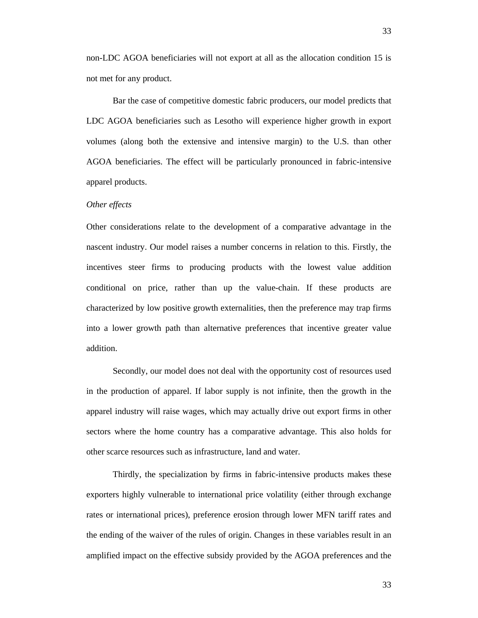non-LDC AGOA beneficiaries will not export at all as the allocation condition 15 is not met for any product.

Bar the case of competitive domestic fabric producers, our model predicts that LDC AGOA beneficiaries such as Lesotho will experience higher growth in export volumes (along both the extensive and intensive margin) to the U.S. than other AGOA beneficiaries. The effect will be particularly pronounced in fabric-intensive apparel products.

#### *Other effects*

Other considerations relate to the development of a comparative advantage in the nascent industry. Our model raises a number concerns in relation to this. Firstly, the incentives steer firms to producing products with the lowest value addition conditional on price, rather than up the value-chain. If these products are characterized by low positive growth externalities, then the preference may trap firms into a lower growth path than alternative preferences that incentive greater value addition.

Secondly, our model does not deal with the opportunity cost of resources used in the production of apparel. If labor supply is not infinite, then the growth in the apparel industry will raise wages, which may actually drive out export firms in other sectors where the home country has a comparative advantage. This also holds for other scarce resources such as infrastructure, land and water.

Thirdly, the specialization by firms in fabric-intensive products makes these exporters highly vulnerable to international price volatility (either through exchange rates or international prices), preference erosion through lower MFN tariff rates and the ending of the waiver of the rules of origin. Changes in these variables result in an amplified impact on the effective subsidy provided by the AGOA preferences and the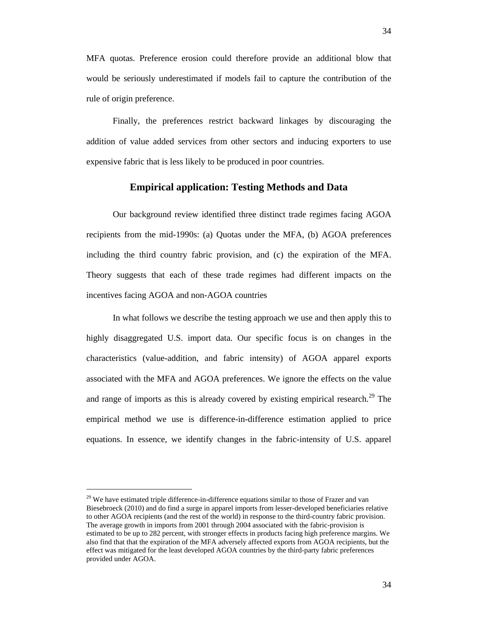MFA quotas. Preference erosion could therefore provide an additional blow that would be seriously underestimated if models fail to capture the contribution of the rule of origin preference.

Finally, the preferences restrict backward linkages by discouraging the addition of value added services from other sectors and inducing exporters to use expensive fabric that is less likely to be produced in poor countries.

## **Empirical application: Testing Methods and Data**

Our background review identified three distinct trade regimes facing AGOA recipients from the mid-1990s: (a) Quotas under the MFA, (b) AGOA preferences including the third country fabric provision, and (c) the expiration of the MFA. Theory suggests that each of these trade regimes had different impacts on the incentives facing AGOA and non-AGOA countries

In what follows we describe the testing approach we use and then apply this to highly disaggregated U.S. import data. Our specific focus is on changes in the characteristics (value-addition, and fabric intensity) of AGOA apparel exports associated with the MFA and AGOA preferences. We ignore the effects on the value and range of imports as this is already covered by existing empirical research.<sup>29</sup> The empirical method we use is difference-in-difference estimation applied to price equations. In essence, we identify changes in the fabric-intensity of U.S. apparel

l

 $29$  We have estimated triple difference-in-difference equations similar to those of Frazer and van Biesebroeck (2010) and do find a surge in apparel imports from lesser-developed beneficiaries relative to other AGOA recipients (and the rest of the world) in response to the third-country fabric provision. The average growth in imports from 2001 through 2004 associated with the fabric-provision is estimated to be up to 282 percent, with stronger effects in products facing high preference margins. We also find that that the expiration of the MFA adversely affected exports from AGOA recipients, but the effect was mitigated for the least developed AGOA countries by the third-party fabric preferences provided under AGOA.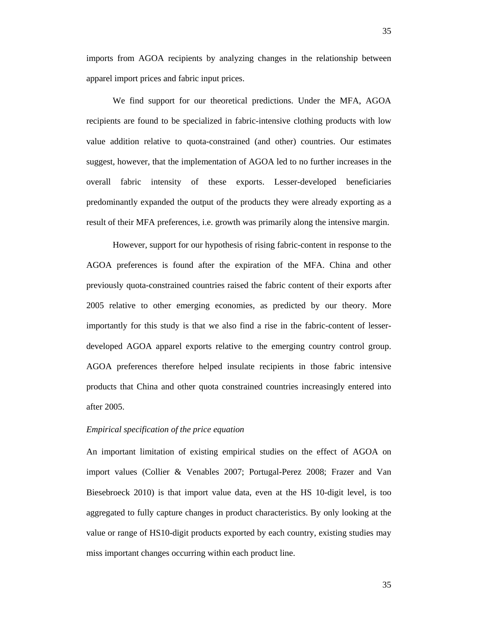imports from AGOA recipients by analyzing changes in the relationship between apparel import prices and fabric input prices.

We find support for our theoretical predictions. Under the MFA, AGOA recipients are found to be specialized in fabric-intensive clothing products with low value addition relative to quota-constrained (and other) countries. Our estimates suggest, however, that the implementation of AGOA led to no further increases in the overall fabric intensity of these exports. Lesser-developed beneficiaries predominantly expanded the output of the products they were already exporting as a result of their MFA preferences, i.e. growth was primarily along the intensive margin.

However, support for our hypothesis of rising fabric-content in response to the AGOA preferences is found after the expiration of the MFA. China and other previously quota-constrained countries raised the fabric content of their exports after 2005 relative to other emerging economies, as predicted by our theory. More importantly for this study is that we also find a rise in the fabric-content of lesserdeveloped AGOA apparel exports relative to the emerging country control group. AGOA preferences therefore helped insulate recipients in those fabric intensive products that China and other quota constrained countries increasingly entered into after 2005.

#### *Empirical specification of the price equation*

An important limitation of existing empirical studies on the effect of AGOA on import values (Collier & Venables 2007; Portugal-Perez 2008; Frazer and Van Biesebroeck 2010) is that import value data, even at the HS 10-digit level, is too aggregated to fully capture changes in product characteristics. By only looking at the value or range of HS10-digit products exported by each country, existing studies may miss important changes occurring within each product line.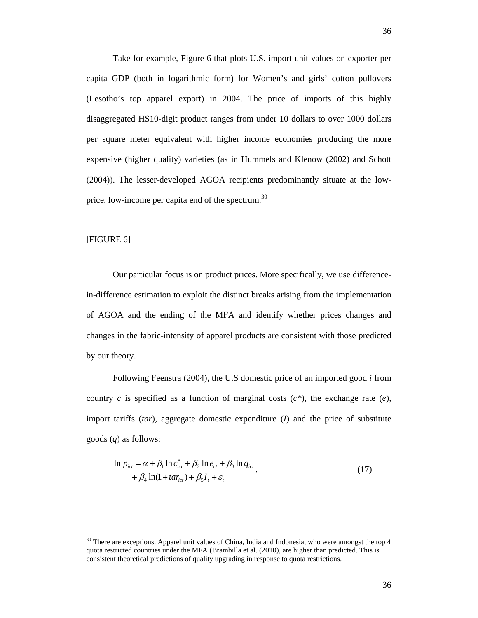Take for example, Figure 6 that plots U.S. import unit values on exporter per capita GDP (both in logarithmic form) for Women's and girls' cotton pullovers (Lesotho's top apparel export) in 2004. The price of imports of this highly disaggregated HS10-digit product ranges from under 10 dollars to over 1000 dollars per square meter equivalent with higher income economies producing the more expensive (higher quality) varieties (as in Hummels and Klenow (2002) and Schott (2004)). The lesser-developed AGOA recipients predominantly situate at the lowprice, low-income per capita end of the spectrum.<sup>30</sup>

#### [FIGURE 6]

l

Our particular focus is on product prices. More specifically, we use differencein-difference estimation to exploit the distinct breaks arising from the implementation of AGOA and the ending of the MFA and identify whether prices changes and changes in the fabric-intensity of apparel products are consistent with those predicted by our theory.

Following Feenstra (2004), the U.S domestic price of an imported good *i* from country *c* is specified as a function of marginal costs (*c\**), the exchange rate (*e*), import tariffs (*tar*), aggregate domestic expenditure (*I*) and the price of substitute goods (*q*) as follows:

$$
\ln p_{ict} = \alpha + \beta_1 \ln c_{ict}^* + \beta_2 \ln e_{ct} + \beta_3 \ln q_{ict} + \beta_4 \ln(1 + tar_{ict}) + \beta_5 I_t + \varepsilon_t
$$
\n(17)

 $30$  There are exceptions. Apparel unit values of China, India and Indonesia, who were amongst the top 4 quota restricted countries under the MFA (Brambilla et al. (2010), are higher than predicted. This is consistent theoretical predictions of quality upgrading in response to quota restrictions.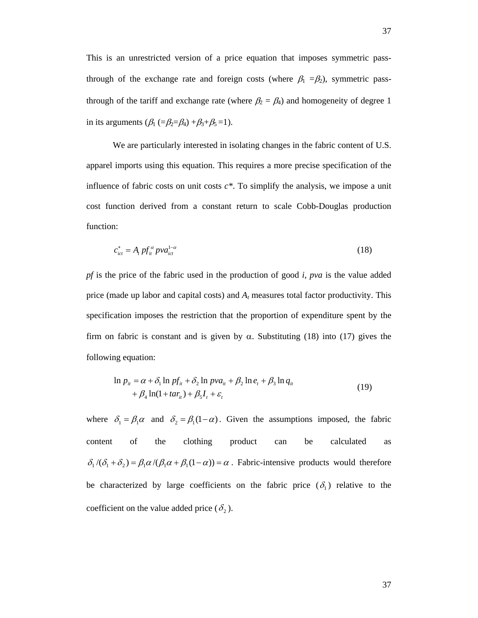This is an unrestricted version of a price equation that imposes symmetric passthrough of the exchange rate and foreign costs (where  $\beta_1 = \beta_2$ ), symmetric passthrough of the tariff and exchange rate (where  $\beta_2 = \beta_4$ ) and homogeneity of degree 1 in its arguments  $(\beta_1 (= \beta_2 = \beta_4) + \beta_3 + \beta_5 = 1)$ .

We are particularly interested in isolating changes in the fabric content of U.S. apparel imports using this equation. This requires a more precise specification of the influence of fabric costs on unit costs *c\**. To simplify the analysis, we impose a unit cost function derived from a constant return to scale Cobb-Douglas production function:

$$
c_{ict}^* = A_t p f_{it}^a p v a_{ict}^{1-\alpha} \tag{18}
$$

*pf* is the price of the fabric used in the production of good *i*, *pva* is the value added price (made up labor and capital costs) and *At* measures total factor productivity. This specification imposes the restriction that the proportion of expenditure spent by the firm on fabric is constant and is given by  $\alpha$ . Substituting (18) into (17) gives the following equation:

$$
\ln p_{ii} = \alpha + \delta_1 \ln pf_{ii} + \delta_2 \ln pva_{ii} + \beta_2 \ln e_t + \beta_3 \ln q_{ii}
$$
  
+  $\beta_4 \ln(1 + tar_{ii}) + \beta_5 I_t + \varepsilon_t$  (19)

where  $\delta_1 = \beta_1 \alpha$  and  $\delta_2 = \beta_1 (1 - \alpha)$ . Given the assumptions imposed, the fabric content of the clothing product can be calculated as  $\delta_1/(\delta_1 + \delta_2) = \beta_1 \alpha/(\beta_1 \alpha + \beta_1 (1-\alpha)) = \alpha$ . Fabric-intensive products would therefore be characterized by large coefficients on the fabric price  $(\delta_1)$  relative to the coefficient on the value added price ( $\delta_2$ ).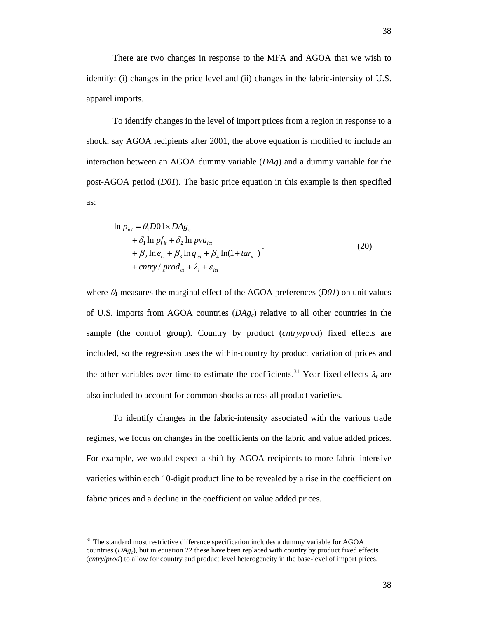There are two changes in response to the MFA and AGOA that we wish to identify: (i) changes in the price level and (ii) changes in the fabric-intensity of U.S. apparel imports.

To identify changes in the level of import prices from a region in response to a shock, say AGOA recipients after 2001, the above equation is modified to include an interaction between an AGOA dummy variable (*DAg*) and a dummy variable for the post-AGOA period (*D01*). The basic price equation in this example is then specified as:

$$
\ln p_{ict} = \theta_1 D01 \times DAg_c \n+ \delta_1 \ln pf_{it} + \delta_2 \ln pva_{ict} \n+ \beta_2 \ln e_{ct} + \beta_3 \ln q_{ict} + \beta_4 \ln(1 + tar_{ict}) \n+ entry / prod_{ct} + \lambda_t + \varepsilon_{ict}
$$
\n(20)

where  $\theta_1$  measures the marginal effect of the AGOA preferences (*D01*) on unit values of U.S. imports from AGOA countries (*DAgc*) relative to all other countries in the sample (the control group). Country by product (*cntry*/*prod*) fixed effects are included, so the regression uses the within-country by product variation of prices and the other variables over time to estimate the coefficients.<sup>31</sup> Year fixed effects  $\lambda_t$  are also included to account for common shocks across all product varieties.

To identify changes in the fabric-intensity associated with the various trade regimes, we focus on changes in the coefficients on the fabric and value added prices. For example, we would expect a shift by AGOA recipients to more fabric intensive varieties within each 10-digit product line to be revealed by a rise in the coefficient on fabric prices and a decline in the coefficient on value added prices.

l

 $31$  The standard most restrictive difference specification includes a dummy variable for AGOA countries  $(DAg<sub>c</sub>)$ , but in equation 22 these have been replaced with country by product fixed effects (*cntry*/*prod*) to allow for country and product level heterogeneity in the base-level of import prices.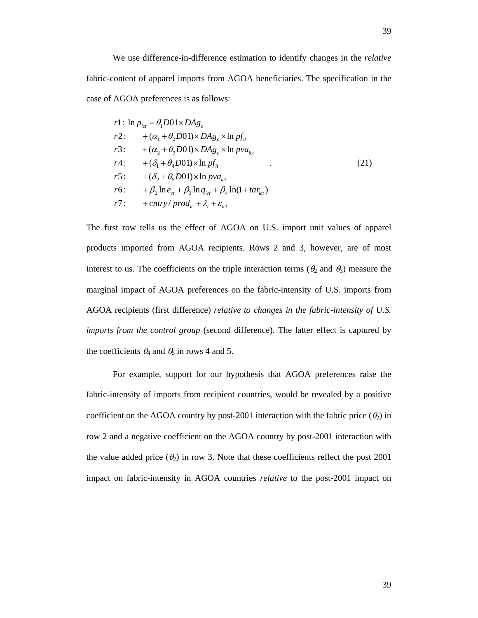We use difference-in-difference estimation to identify changes in the *relative* fabric-content of apparel imports from AGOA beneficiaries. The specification in the case of AGOA preferences is as follows:

$$
r1: \ln p_{ic} = \theta_1 D01 \times DAg_c
$$
  
\n
$$
r2: + (\alpha_1 + \theta_2 D01) \times DAg_c \times \ln pf_{it}
$$
  
\n
$$
r3: + (\alpha_2 + \theta_3 D01) \times DAg_c \times \ln pva_{ict}
$$
  
\n
$$
r4: + (\delta_1 + \theta_4 D01) \times \ln pf_{it}
$$
  
\n
$$
r5: + (\delta_2 + \theta_5 D01) \times \ln pva_{ict}
$$
  
\n
$$
r6: + \beta_2 \ln e_{ct} + \beta_3 \ln q_{ict} + \beta_4 \ln(1 + tar_{ict})
$$
  
\n
$$
r7: + entry/prod_{ic} + \lambda_t + \varepsilon_{ict}
$$
\n(21)

The first row tells us the effect of AGOA on U.S. import unit values of apparel products imported from AGOA recipients. Rows 2 and 3, however, are of most interest to us. The coefficients on the triple interaction terms ( $\theta_2$  and  $\theta_3$ ) measure the marginal impact of AGOA preferences on the fabric-intensity of U.S. imports from AGOA recipients (first difference) *relative to changes in the fabric-intensity of U.S. imports from the control group* (second difference). The latter effect is captured by the coefficients  $\theta_4$  and  $\theta_5$  in rows 4 and 5.

 For example, support for our hypothesis that AGOA preferences raise the fabric-intensity of imports from recipient countries, would be revealed by a positive coefficient on the AGOA country by post-2001 interaction with the fabric price  $(\theta_2)$  in row 2 and a negative coefficient on the AGOA country by post-2001 interaction with the value added price  $(\theta_2)$  in row 3. Note that these coefficients reflect the post 2001 impact on fabric-intensity in AGOA countries *relative* to the post-2001 impact on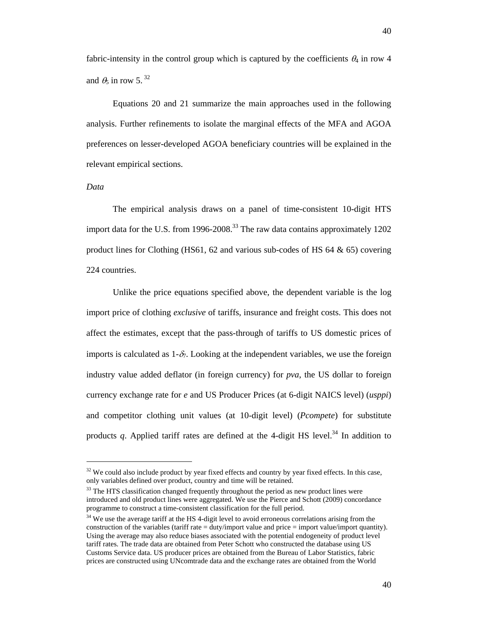fabric-intensity in the control group which is captured by the coefficients  $\theta_4$  in row 4 and  $\theta_5$  in row 5.<sup>32</sup>

Equations 20 and 21 summarize the main approaches used in the following analysis. Further refinements to isolate the marginal effects of the MFA and AGOA preferences on lesser-developed AGOA beneficiary countries will be explained in the relevant empirical sections.

#### *Data*

l

The empirical analysis draws on a panel of time-consistent 10-digit HTS import data for the U.S. from 1996-2008.<sup>33</sup> The raw data contains approximately 1202 product lines for Clothing  $(HS61, 62 \text{ and various sub-codes of HS } 64 \& 65)$  covering 224 countries.

Unlike the price equations specified above, the dependent variable is the log import price of clothing *exclusive* of tariffs, insurance and freight costs. This does not affect the estimates, except that the pass-through of tariffs to US domestic prices of imports is calculated as  $1-\delta$ . Looking at the independent variables, we use the foreign industry value added deflator (in foreign currency) for *pva*, the US dollar to foreign currency exchange rate for *e* and US Producer Prices (at 6-digit NAICS level) (*usppi*) and competitor clothing unit values (at 10-digit level) (*Pcompete*) for substitute products *q*. Applied tariff rates are defined at the 4-digit HS level.<sup>34</sup> In addition to

 $32$  We could also include product by year fixed effects and country by year fixed effects. In this case, only variables defined over product, country and time will be retained.

 $33$  The HTS classification changed frequently throughout the period as new product lines were introduced and old product lines were aggregated. We use the Pierce and Schott (2009) concordance programme to construct a time-consistent classification for the full period.

<sup>&</sup>lt;sup>34</sup> We use the average tariff at the HS 4-digit level to avoid erroneous correlations arising from the construction of the variables (tariff rate = duty/import value and price = import value/import quantity). Using the average may also reduce biases associated with the potential endogeneity of product level tariff rates. The trade data are obtained from Peter Schott who constructed the database using US Customs Service data. US producer prices are obtained from the Bureau of Labor Statistics, fabric prices are constructed using UNcomtrade data and the exchange rates are obtained from the World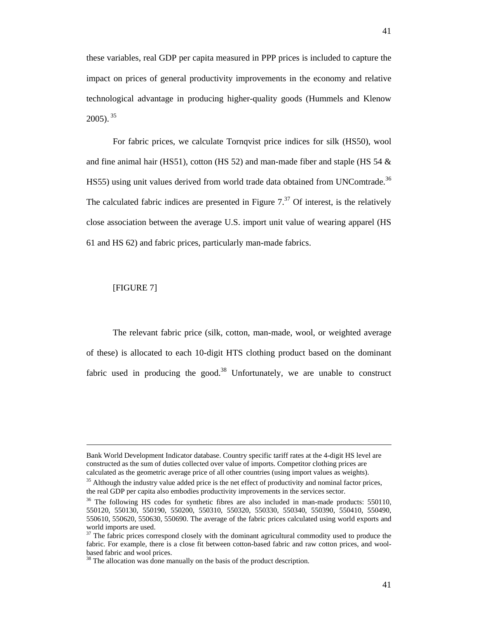these variables, real GDP per capita measured in PPP prices is included to capture the impact on prices of general productivity improvements in the economy and relative technological advantage in producing higher-quality goods (Hummels and Klenow  $2005$ ).  $35$ 

For fabric prices, we calculate Tornqvist price indices for silk (HS50), wool and fine animal hair (HS51), cotton (HS 52) and man-made fiber and staple (HS 54  $\&$ HS55) using unit values derived from world trade data obtained from UNComtrade.<sup>36</sup> The calculated fabric indices are presented in Figure  $7<sup>37</sup>$  Of interest, is the relatively close association between the average U.S. import unit value of wearing apparel (HS 61 and HS 62) and fabric prices, particularly man-made fabrics.

## [FIGURE 7]

l

The relevant fabric price (silk, cotton, man-made, wool, or weighted average of these) is allocated to each 10-digit HTS clothing product based on the dominant fabric used in producing the good.<sup>38</sup> Unfortunately, we are unable to construct

Bank World Development Indicator database. Country specific tariff rates at the 4-digit HS level are constructed as the sum of duties collected over value of imports. Competitor clothing prices are calculated as the geometric average price of all other countries (using import values as weights).

<sup>&</sup>lt;sup>35</sup> Although the industry value added price is the net effect of productivity and nominal factor prices, the real GDP per capita also embodies productivity improvements in the services sector.<br><sup>36</sup> The following HS codes for synthetic fibres are also included in man-made products: 550110,

<sup>550120, 550130, 550190, 550200, 550310, 550320, 550330, 550340, 550390, 550410, 550490,</sup>  550610, 550620, 550630, 550690. The average of the fabric prices calculated using world exports and world imports are used.

<sup>&</sup>lt;sup>37</sup> The fabric prices correspond closely with the dominant agricultural commodity used to produce the fabric. For example, there is a close fit between cotton-based fabric and raw cotton prices, and woolbased fabric and wool prices.

<sup>&</sup>lt;sup>38</sup> The allocation was done manually on the basis of the product description.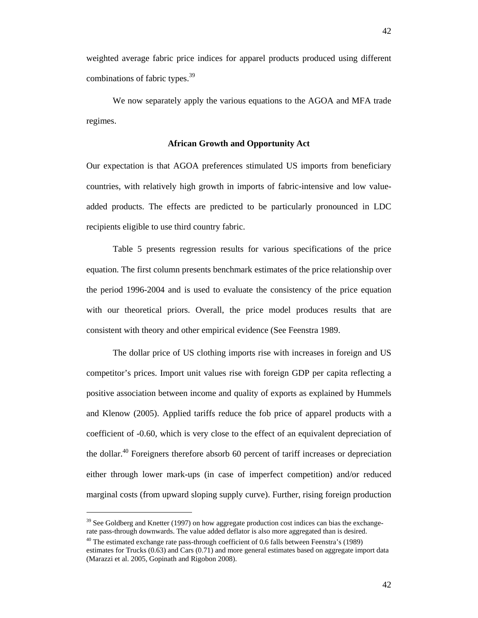weighted average fabric price indices for apparel products produced using different combinations of fabric types.<sup>39</sup>

We now separately apply the various equations to the AGOA and MFA trade regimes.

#### **African Growth and Opportunity Act**

Our expectation is that AGOA preferences stimulated US imports from beneficiary countries, with relatively high growth in imports of fabric-intensive and low valueadded products. The effects are predicted to be particularly pronounced in LDC recipients eligible to use third country fabric.

Table 5 presents regression results for various specifications of the price equation. The first column presents benchmark estimates of the price relationship over the period 1996-2004 and is used to evaluate the consistency of the price equation with our theoretical priors. Overall, the price model produces results that are consistent with theory and other empirical evidence (See Feenstra 1989.

The dollar price of US clothing imports rise with increases in foreign and US competitor's prices. Import unit values rise with foreign GDP per capita reflecting a positive association between income and quality of exports as explained by Hummels and Klenow (2005). Applied tariffs reduce the fob price of apparel products with a coefficient of -0.60, which is very close to the effect of an equivalent depreciation of the dollar.<sup>40</sup> Foreigners therefore absorb 60 percent of tariff increases or depreciation either through lower mark-ups (in case of imperfect competition) and/or reduced marginal costs (from upward sloping supply curve). Further, rising foreign production

l

<sup>&</sup>lt;sup>39</sup> See Goldberg and Knetter (1997) on how aggregate production cost indices can bias the exchangerate pass-through downwards. The value added deflator is also more aggregated than is desired.

 $40$  The estimated exchange rate pass-through coefficient of 0.6 falls between Feenstra's (1989)

estimates for Trucks (0.63) and Cars (0.71) and more general estimates based on aggregate import data (Marazzi et al. 2005, Gopinath and Rigobon 2008).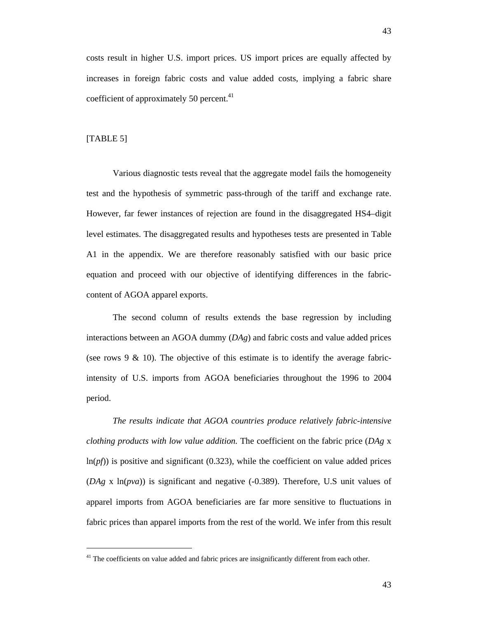costs result in higher U.S. import prices. US import prices are equally affected by increases in foreign fabric costs and value added costs, implying a fabric share coefficient of approximately 50 percent.<sup>41</sup>

#### [TABLE 5]

l

Various diagnostic tests reveal that the aggregate model fails the homogeneity test and the hypothesis of symmetric pass-through of the tariff and exchange rate. However, far fewer instances of rejection are found in the disaggregated HS4–digit level estimates. The disaggregated results and hypotheses tests are presented in Table A1 in the appendix. We are therefore reasonably satisfied with our basic price equation and proceed with our objective of identifying differences in the fabriccontent of AGOA apparel exports.

The second column of results extends the base regression by including interactions between an AGOA dummy (*DAg*) and fabric costs and value added prices (see rows  $9 \& 10$ ). The objective of this estimate is to identify the average fabricintensity of U.S. imports from AGOA beneficiaries throughout the 1996 to 2004 period.

*The results indicate that AGOA countries produce relatively fabric-intensive clothing products with low value addition.* The coefficient on the fabric price (*DAg* x  $ln(pf)$ ) is positive and significant (0.323), while the coefficient on value added prices (*DAg* x ln(*pva*)) is significant and negative (-0.389). Therefore, U.S unit values of apparel imports from AGOA beneficiaries are far more sensitive to fluctuations in fabric prices than apparel imports from the rest of the world. We infer from this result

<sup>&</sup>lt;sup>41</sup> The coefficients on value added and fabric prices are insignificantly different from each other.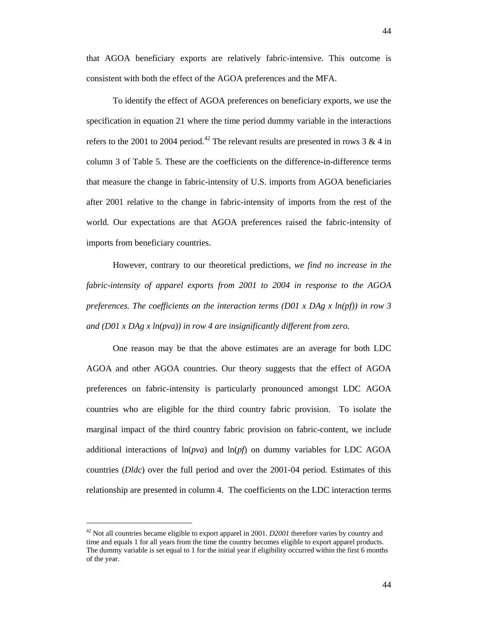that AGOA beneficiary exports are relatively fabric-intensive. This outcome is consistent with both the effect of the AGOA preferences and the MFA.

To identify the effect of AGOA preferences on beneficiary exports, we use the specification in equation 21 where the time period dummy variable in the interactions refers to the 2001 to 2004 period.<sup>42</sup> The relevant results are presented in rows 3 & 4 in column 3 of Table 5. These are the coefficients on the difference-in-difference terms that measure the change in fabric-intensity of U.S. imports from AGOA beneficiaries after 2001 relative to the change in fabric-intensity of imports from the rest of the world. Our expectations are that AGOA preferences raised the fabric-intensity of imports from beneficiary countries.

However, contrary to our theoretical predictions*, we find no increase in the fabric-intensity of apparel exports from 2001 to 2004 in response to the AGOA preferences. The coefficients on the interaction terms (D01 x DAg x ln(pf)) in row 3 and (D01 x DAg x ln(pva)) in row 4 are insignificantly different from zero.* 

One reason may be that the above estimates are an average for both LDC AGOA and other AGOA countries. Our theory suggests that the effect of AGOA preferences on fabric-intensity is particularly pronounced amongst LDC AGOA countries who are eligible for the third country fabric provision. To isolate the marginal impact of the third country fabric provision on fabric-content, we include additional interactions of ln(*pva*) and ln(*pf*) on dummy variables for LDC AGOA countries (*Dldc*) over the full period and over the 2001-04 period. Estimates of this relationship are presented in column 4. The coefficients on the LDC interaction terms

<sup>42</sup> Not all countries became eligible to export apparel in 2001. *D2001* therefore varies by country and time and equals 1 for all years from the time the country becomes eligible to export apparel products. The dummy variable is set equal to 1 for the initial year if eligibility occurred within the first 6 months of the year.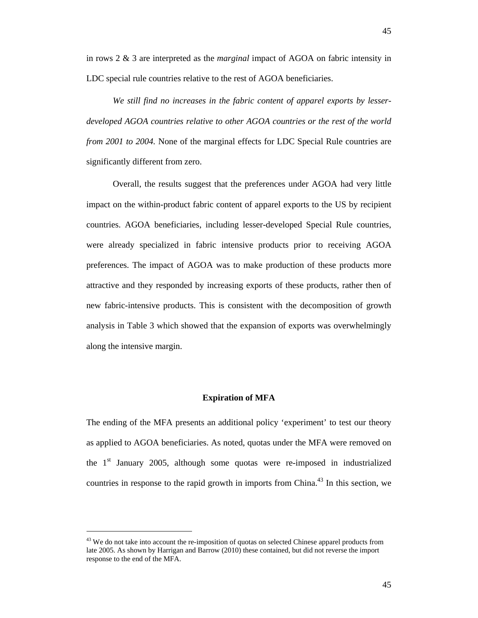LDC special rule countries relative to the rest of AGOA beneficiaries.

*We still find no increases in the fabric content of apparel exports by lesserdeveloped AGOA countries relative to other AGOA countries or the rest of the world from 2001 to 2004.* None of the marginal effects for LDC Special Rule countries are significantly different from zero.

Overall, the results suggest that the preferences under AGOA had very little impact on the within-product fabric content of apparel exports to the US by recipient countries. AGOA beneficiaries, including lesser-developed Special Rule countries, were already specialized in fabric intensive products prior to receiving AGOA preferences. The impact of AGOA was to make production of these products more attractive and they responded by increasing exports of these products, rather then of new fabric-intensive products. This is consistent with the decomposition of growth analysis in Table 3 which showed that the expansion of exports was overwhelmingly along the intensive margin.

#### **Expiration of MFA**

The ending of the MFA presents an additional policy 'experiment' to test our theory as applied to AGOA beneficiaries. As noted, quotas under the MFA were removed on the 1<sup>st</sup> January 2005, although some quotas were re-imposed in industrialized countries in response to the rapid growth in imports from China.<sup>43</sup> In this section, we

l

 $43$  We do not take into account the re-imposition of quotas on selected Chinese apparel products from late 2005. As shown by Harrigan and Barrow (2010) these contained, but did not reverse the import response to the end of the MFA.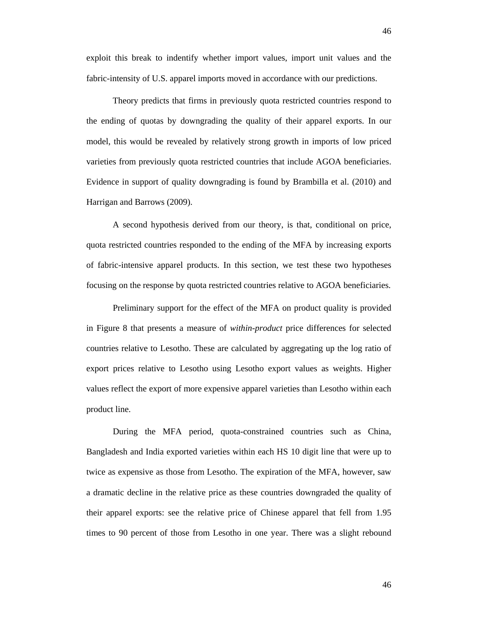exploit this break to indentify whether import values, import unit values and the fabric-intensity of U.S. apparel imports moved in accordance with our predictions.

Theory predicts that firms in previously quota restricted countries respond to the ending of quotas by downgrading the quality of their apparel exports. In our model, this would be revealed by relatively strong growth in imports of low priced varieties from previously quota restricted countries that include AGOA beneficiaries. Evidence in support of quality downgrading is found by Brambilla et al. (2010) and Harrigan and Barrows (2009).

A second hypothesis derived from our theory, is that, conditional on price, quota restricted countries responded to the ending of the MFA by increasing exports of fabric-intensive apparel products. In this section, we test these two hypotheses focusing on the response by quota restricted countries relative to AGOA beneficiaries.

Preliminary support for the effect of the MFA on product quality is provided in Figure 8 that presents a measure of *within-product* price differences for selected countries relative to Lesotho. These are calculated by aggregating up the log ratio of export prices relative to Lesotho using Lesotho export values as weights. Higher values reflect the export of more expensive apparel varieties than Lesotho within each product line.

During the MFA period, quota-constrained countries such as China, Bangladesh and India exported varieties within each HS 10 digit line that were up to twice as expensive as those from Lesotho. The expiration of the MFA, however, saw a dramatic decline in the relative price as these countries downgraded the quality of their apparel exports: see the relative price of Chinese apparel that fell from 1.95 times to 90 percent of those from Lesotho in one year. There was a slight rebound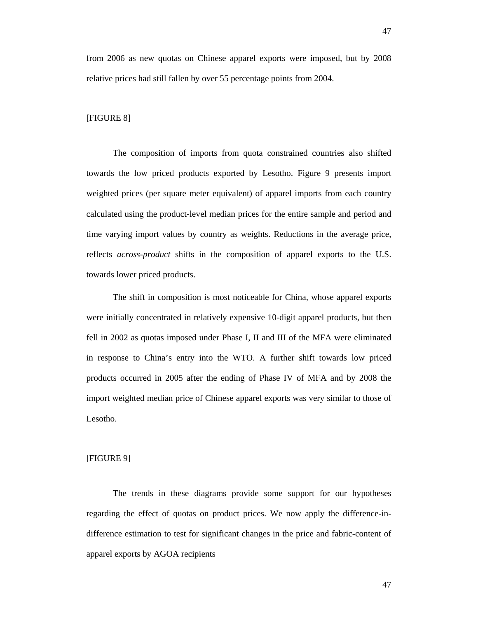from 2006 as new quotas on Chinese apparel exports were imposed, but by 2008 relative prices had still fallen by over 55 percentage points from 2004.

#### [FIGURE 8]

The composition of imports from quota constrained countries also shifted towards the low priced products exported by Lesotho. Figure 9 presents import weighted prices (per square meter equivalent) of apparel imports from each country calculated using the product-level median prices for the entire sample and period and time varying import values by country as weights. Reductions in the average price, reflects *across-product* shifts in the composition of apparel exports to the U.S. towards lower priced products.

The shift in composition is most noticeable for China, whose apparel exports were initially concentrated in relatively expensive 10-digit apparel products, but then fell in 2002 as quotas imposed under Phase I, II and III of the MFA were eliminated in response to China's entry into the WTO. A further shift towards low priced products occurred in 2005 after the ending of Phase IV of MFA and by 2008 the import weighted median price of Chinese apparel exports was very similar to those of Lesotho.

#### [FIGURE 9]

The trends in these diagrams provide some support for our hypotheses regarding the effect of quotas on product prices. We now apply the difference-indifference estimation to test for significant changes in the price and fabric-content of apparel exports by AGOA recipients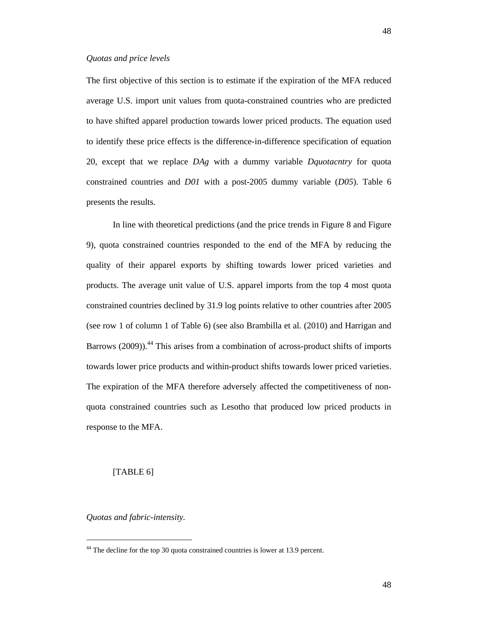The first objective of this section is to estimate if the expiration of the MFA reduced average U.S. import unit values from quota-constrained countries who are predicted to have shifted apparel production towards lower priced products. The equation used to identify these price effects is the difference-in-difference specification of equation 20, except that we replace *DAg* with a dummy variable *Dquotacntry* for quota constrained countries and *D01* with a post-2005 dummy variable (*D05*). Table 6 presents the results.

In line with theoretical predictions (and the price trends in Figure 8 and Figure 9), quota constrained countries responded to the end of the MFA by reducing the quality of their apparel exports by shifting towards lower priced varieties and products. The average unit value of U.S. apparel imports from the top 4 most quota constrained countries declined by 31.9 log points relative to other countries after 2005 (see row 1 of column 1 of Table 6) (see also Brambilla et al. (2010) and Harrigan and Barrows (2009)).<sup>44</sup> This arises from a combination of across-product shifts of imports towards lower price products and within-product shifts towards lower priced varieties. The expiration of the MFA therefore adversely affected the competitiveness of nonquota constrained countries such as Lesotho that produced low priced products in response to the MFA.

## [TABLE 6]

*Quotas and fabric-intensity.* 

l

<sup>&</sup>lt;sup>44</sup> The decline for the top 30 quota constrained countries is lower at 13.9 percent.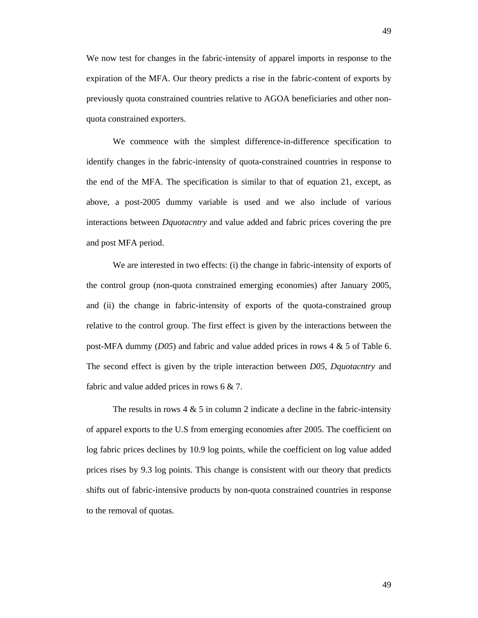We now test for changes in the fabric-intensity of apparel imports in response to the expiration of the MFA. Our theory predicts a rise in the fabric-content of exports by previously quota constrained countries relative to AGOA beneficiaries and other nonquota constrained exporters.

We commence with the simplest difference-in-difference specification to identify changes in the fabric-intensity of quota-constrained countries in response to the end of the MFA. The specification is similar to that of equation 21, except, as above, a post-2005 dummy variable is used and we also include of various interactions between *Dquotacntry* and value added and fabric prices covering the pre and post MFA period.

We are interested in two effects: (i) the change in fabric-intensity of exports of the control group (non-quota constrained emerging economies) after January 2005, and (ii) the change in fabric-intensity of exports of the quota-constrained group relative to the control group. The first effect is given by the interactions between the post-MFA dummy (*D05*) and fabric and value added prices in rows 4 & 5 of Table 6. The second effect is given by the triple interaction between *D05*, *Dquotacntry* and fabric and value added prices in rows 6 & 7.

The results in rows  $4 \& 5$  in column 2 indicate a decline in the fabric-intensity of apparel exports to the U.S from emerging economies after 2005. The coefficient on log fabric prices declines by 10.9 log points, while the coefficient on log value added prices rises by 9.3 log points. This change is consistent with our theory that predicts shifts out of fabric-intensive products by non-quota constrained countries in response to the removal of quotas.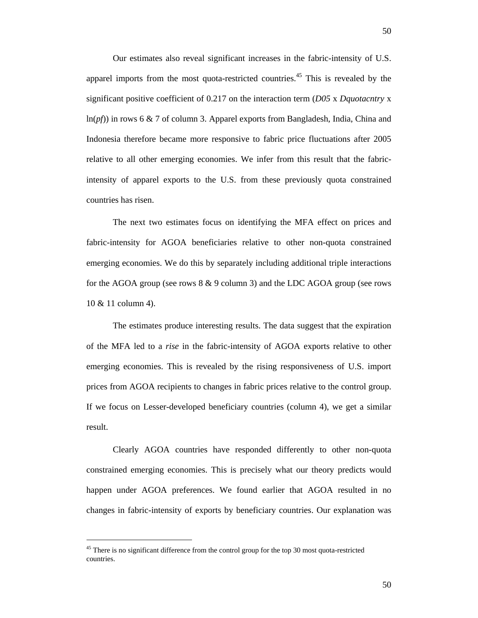Our estimates also reveal significant increases in the fabric-intensity of U.S. apparel imports from the most quota-restricted countries.<sup>45</sup> This is revealed by the significant positive coefficient of 0.217 on the interaction term (*D05* x *Dquotacntry* x ln(*pf*)) in rows 6 & 7 of column 3. Apparel exports from Bangladesh, India, China and Indonesia therefore became more responsive to fabric price fluctuations after 2005 relative to all other emerging economies. We infer from this result that the fabricintensity of apparel exports to the U.S. from these previously quota constrained countries has risen.

The next two estimates focus on identifying the MFA effect on prices and fabric-intensity for AGOA beneficiaries relative to other non-quota constrained emerging economies. We do this by separately including additional triple interactions for the AGOA group (see rows 8 & 9 column 3) and the LDC AGOA group (see rows 10 & 11 column 4).

The estimates produce interesting results. The data suggest that the expiration of the MFA led to a *rise* in the fabric-intensity of AGOA exports relative to other emerging economies. This is revealed by the rising responsiveness of U.S. import prices from AGOA recipients to changes in fabric prices relative to the control group. If we focus on Lesser-developed beneficiary countries (column 4), we get a similar result.

Clearly AGOA countries have responded differently to other non-quota constrained emerging economies. This is precisely what our theory predicts would happen under AGOA preferences. We found earlier that AGOA resulted in no changes in fabric-intensity of exports by beneficiary countries. Our explanation was

l

<sup>&</sup>lt;sup>45</sup> There is no significant difference from the control group for the top 30 most quota-restricted countries.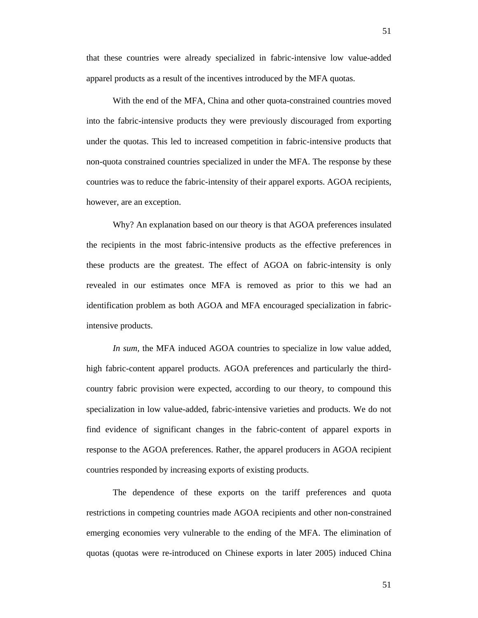that these countries were already specialized in fabric-intensive low value-added apparel products as a result of the incentives introduced by the MFA quotas.

With the end of the MFA, China and other quota-constrained countries moved into the fabric-intensive products they were previously discouraged from exporting under the quotas. This led to increased competition in fabric-intensive products that non-quota constrained countries specialized in under the MFA. The response by these countries was to reduce the fabric-intensity of their apparel exports. AGOA recipients, however, are an exception.

Why? An explanation based on our theory is that AGOA preferences insulated the recipients in the most fabric-intensive products as the effective preferences in these products are the greatest. The effect of AGOA on fabric-intensity is only revealed in our estimates once MFA is removed as prior to this we had an identification problem as both AGOA and MFA encouraged specialization in fabricintensive products.

*In sum,* the MFA induced AGOA countries to specialize in low value added, high fabric-content apparel products. AGOA preferences and particularly the thirdcountry fabric provision were expected, according to our theory, to compound this specialization in low value-added, fabric-intensive varieties and products. We do not find evidence of significant changes in the fabric-content of apparel exports in response to the AGOA preferences. Rather, the apparel producers in AGOA recipient countries responded by increasing exports of existing products.

The dependence of these exports on the tariff preferences and quota restrictions in competing countries made AGOA recipients and other non-constrained emerging economies very vulnerable to the ending of the MFA. The elimination of quotas (quotas were re-introduced on Chinese exports in later 2005) induced China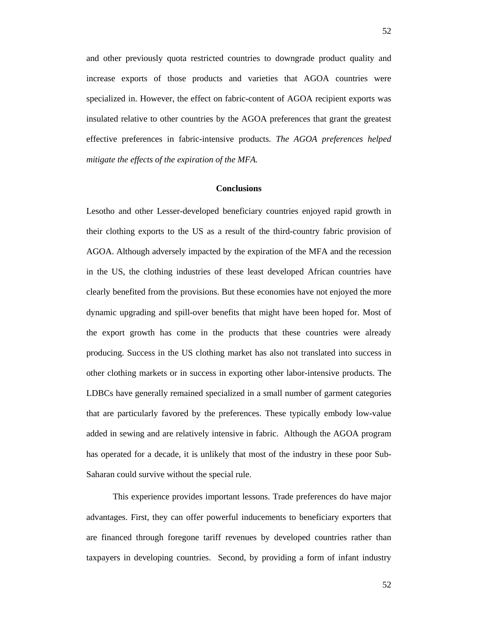and other previously quota restricted countries to downgrade product quality and increase exports of those products and varieties that AGOA countries were specialized in. However, the effect on fabric-content of AGOA recipient exports was insulated relative to other countries by the AGOA preferences that grant the greatest effective preferences in fabric-intensive products. *The AGOA preferences helped mitigate the effects of the expiration of the MFA.*

### **Conclusions**

Lesotho and other Lesser-developed beneficiary countries enjoyed rapid growth in their clothing exports to the US as a result of the third-country fabric provision of AGOA. Although adversely impacted by the expiration of the MFA and the recession in the US, the clothing industries of these least developed African countries have clearly benefited from the provisions. But these economies have not enjoyed the more dynamic upgrading and spill-over benefits that might have been hoped for. Most of the export growth has come in the products that these countries were already producing. Success in the US clothing market has also not translated into success in other clothing markets or in success in exporting other labor-intensive products. The LDBCs have generally remained specialized in a small number of garment categories that are particularly favored by the preferences. These typically embody low-value added in sewing and are relatively intensive in fabric. Although the AGOA program has operated for a decade, it is unlikely that most of the industry in these poor Sub-Saharan could survive without the special rule.

This experience provides important lessons. Trade preferences do have major advantages. First, they can offer powerful inducements to beneficiary exporters that are financed through foregone tariff revenues by developed countries rather than taxpayers in developing countries. Second, by providing a form of infant industry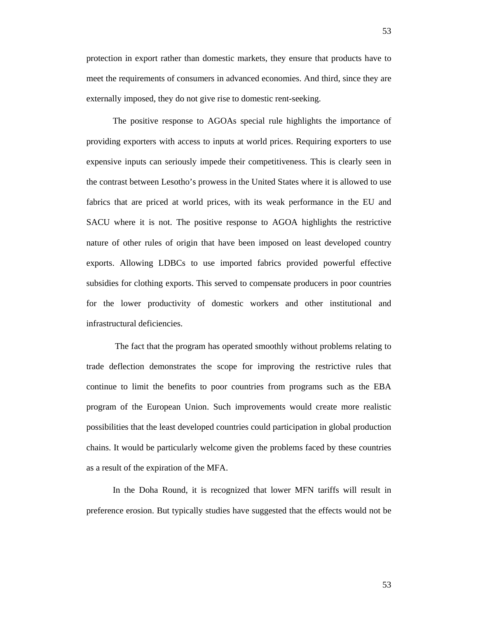protection in export rather than domestic markets, they ensure that products have to meet the requirements of consumers in advanced economies. And third, since they are externally imposed, they do not give rise to domestic rent-seeking.

The positive response to AGOAs special rule highlights the importance of providing exporters with access to inputs at world prices. Requiring exporters to use expensive inputs can seriously impede their competitiveness. This is clearly seen in the contrast between Lesotho's prowess in the United States where it is allowed to use fabrics that are priced at world prices, with its weak performance in the EU and SACU where it is not. The positive response to AGOA highlights the restrictive nature of other rules of origin that have been imposed on least developed country exports. Allowing LDBCs to use imported fabrics provided powerful effective subsidies for clothing exports. This served to compensate producers in poor countries for the lower productivity of domestic workers and other institutional and infrastructural deficiencies.

 The fact that the program has operated smoothly without problems relating to trade deflection demonstrates the scope for improving the restrictive rules that continue to limit the benefits to poor countries from programs such as the EBA program of the European Union. Such improvements would create more realistic possibilities that the least developed countries could participation in global production chains. It would be particularly welcome given the problems faced by these countries as a result of the expiration of the MFA.

In the Doha Round, it is recognized that lower MFN tariffs will result in preference erosion. But typically studies have suggested that the effects would not be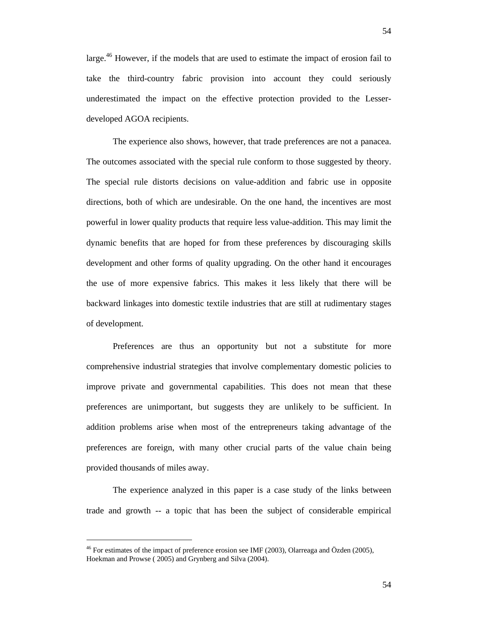large.<sup>46</sup> However, if the models that are used to estimate the impact of erosion fail to take the third-country fabric provision into account they could seriously underestimated the impact on the effective protection provided to the Lesserdeveloped AGOA recipients.

The experience also shows, however, that trade preferences are not a panacea. The outcomes associated with the special rule conform to those suggested by theory. The special rule distorts decisions on value-addition and fabric use in opposite directions, both of which are undesirable. On the one hand, the incentives are most powerful in lower quality products that require less value-addition. This may limit the dynamic benefits that are hoped for from these preferences by discouraging skills development and other forms of quality upgrading. On the other hand it encourages the use of more expensive fabrics. This makes it less likely that there will be backward linkages into domestic textile industries that are still at rudimentary stages of development.

Preferences are thus an opportunity but not a substitute for more comprehensive industrial strategies that involve complementary domestic policies to improve private and governmental capabilities. This does not mean that these preferences are unimportant, but suggests they are unlikely to be sufficient. In addition problems arise when most of the entrepreneurs taking advantage of the preferences are foreign, with many other crucial parts of the value chain being provided thousands of miles away.

The experience analyzed in this paper is a case study of the links between trade and growth -- a topic that has been the subject of considerable empirical

l

<sup>&</sup>lt;sup>46</sup> For estimates of the impact of preference erosion see IMF (2003), Olarreaga and Özden (2005), Hoekman and Prowse ( 2005) and Grynberg and Silva (2004).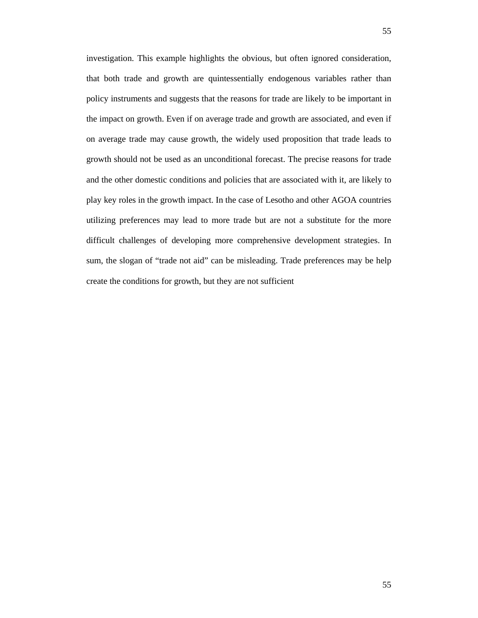investigation. This example highlights the obvious, but often ignored consideration, that both trade and growth are quintessentially endogenous variables rather than policy instruments and suggests that the reasons for trade are likely to be important in the impact on growth. Even if on average trade and growth are associated, and even if on average trade may cause growth, the widely used proposition that trade leads to growth should not be used as an unconditional forecast. The precise reasons for trade and the other domestic conditions and policies that are associated with it, are likely to play key roles in the growth impact. In the case of Lesotho and other AGOA countries utilizing preferences may lead to more trade but are not a substitute for the more difficult challenges of developing more comprehensive development strategies. In sum, the slogan of "trade not aid" can be misleading. Trade preferences may be help create the conditions for growth, but they are not sufficient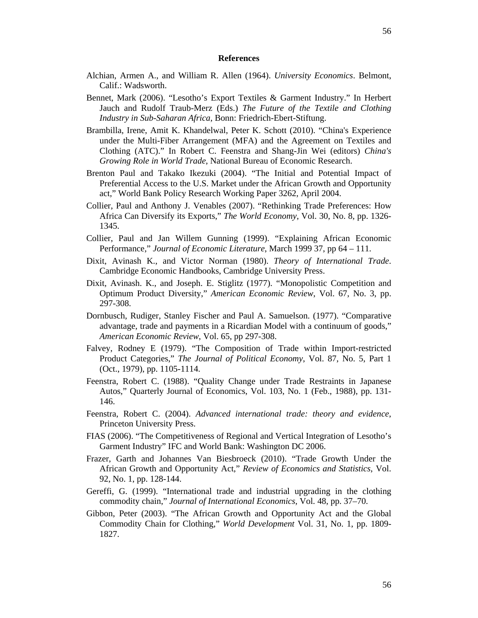#### **References**

- Alchian, Armen A., and William R. Allen (1964). *University Economics*. Belmont, Calif.: Wadsworth.
- Bennet, Mark (2006). "Lesotho's Export Textiles & Garment Industry." In Herbert Jauch and Rudolf Traub-Merz (Eds.) *The Future of the Textile and Clothing Industry in Sub-Saharan Africa*, Bonn: Friedrich-Ebert-Stiftung.
- Brambilla, Irene, Amit K. Khandelwal, Peter K. Schott (2010). "China's Experience under the Multi-Fiber Arrangement (MFA) and the Agreement on Textiles and Clothing (ATC)." In Robert C. Feenstra and Shang-Jin Wei (editors) *China's Growing Role in World Trade*, National Bureau of Economic Research.
- Brenton Paul and Takako Ikezuki (2004). "The Initial and Potential Impact of Preferential Access to the U.S. Market under the African Growth and Opportunity act," World Bank Policy Research Working Paper 3262, April 2004.
- Collier, Paul and Anthony J. Venables (2007). "Rethinking Trade Preferences: How Africa Can Diversify its Exports," *The World Economy*, Vol. 30, No. 8, pp. 1326- 1345.
- Collier, Paul and Jan Willem Gunning (1999). "Explaining African Economic Performance," *Journal of Economic Literature*, March 1999 37, pp 64 – 111.
- Dixit, Avinash K., and Victor Norman (1980). *Theory of International Trade*. Cambridge Economic Handbooks, Cambridge University Press.
- Dixit, Avinash. K., and Joseph. E. Stiglitz (1977). "Monopolistic Competition and Optimum Product Diversity," *American Economic Review*, Vol. 67, No. 3, pp. 297-308.
- Dornbusch, Rudiger, Stanley Fischer and Paul A. Samuelson. (1977). "Comparative advantage, trade and payments in a Ricardian Model with a continuum of goods," *American Economic Review*, Vol. 65, pp 297-308.
- Falvey, Rodney E (1979). "The Composition of Trade within Import-restricted Product Categories," *The Journal of Political Economy*, Vol. 87, No. 5, Part 1 (Oct., 1979), pp. 1105-1114.
- Feenstra, Robert C. (1988). "Quality Change under Trade Restraints in Japanese Autos," Quarterly Journal of Economics, Vol. 103, No. 1 (Feb., 1988), pp. 131- 146.
- Feenstra, Robert C. (2004). *Advanced international trade: theory and evidence*, Princeton University Press.
- FIAS (2006). "The Competitiveness of Regional and Vertical Integration of Lesotho's Garment Industry" IFC and World Bank: Washington DC 2006.
- Frazer, Garth and Johannes Van Biesbroeck (2010). "Trade Growth Under the African Growth and Opportunity Act," *Review of Economics and Statistics*, Vol. 92, No. 1, pp. 128-144.
- Gereffi, G. (1999). "International trade and industrial upgrading in the clothing commodity chain," *Journal of International Economics*, Vol. 48, pp. 37–70.
- Gibbon, Peter (2003). "The African Growth and Opportunity Act and the Global Commodity Chain for Clothing," *World Development* Vol. 31, No. 1, pp. 1809- 1827.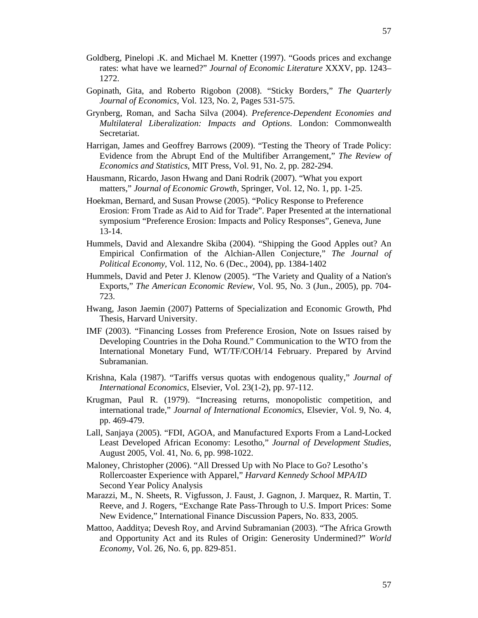- Goldberg, Pinelopi .K. and Michael M. Knetter (1997). "Goods prices and exchange rates: what have we learned?" *Journal of Economic Literature* XXXV, pp. 1243– 1272.
- Gopinath, Gita, and Roberto Rigobon (2008). "Sticky Borders," *The Quarterly Journal of Economics*, Vol. 123, No. 2, Pages 531-575.
- Grynberg, Roman, and Sacha Silva (2004). *Preference-Dependent Economies and Multilateral Liberalization: Impacts and Options*. London: Commonwealth Secretariat.
- Harrigan, James and Geoffrey Barrows (2009). "Testing the Theory of Trade Policy: Evidence from the Abrupt End of the Multifiber Arrangement," *The Review of Economics and Statistics*, MIT Press, Vol. 91, No. 2, pp. 282-294.
- Hausmann, Ricardo, Jason Hwang and Dani Rodrik (2007). "What you export matters," *Journal of Economic Growth*, Springer, Vol. 12, No. 1, pp. 1-25.
- Hoekman, Bernard, and Susan Prowse (2005). "Policy Response to Preference Erosion: From Trade as Aid to Aid for Trade". Paper Presented at the international symposium "Preference Erosion: Impacts and Policy Responses", Geneva, June 13-14.
- Hummels, David and Alexandre Skiba (2004). "Shipping the Good Apples out? An Empirical Confirmation of the Alchian-Allen Conjecture," *The Journal of Political Economy*, Vol. 112, No. 6 (Dec., 2004), pp. 1384-1402
- Hummels, David and Peter J. Klenow (2005). "The Variety and Quality of a Nation's Exports," *The American Economic Review*, Vol. 95, No. 3 (Jun., 2005), pp. 704- 723.
- Hwang, Jason Jaemin (2007) Patterns of Specialization and Economic Growth, Phd Thesis, Harvard University.
- IMF (2003). "Financing Losses from Preference Erosion, Note on Issues raised by Developing Countries in the Doha Round." Communication to the WTO from the International Monetary Fund, WT/TF/COH/14 February. Prepared by Arvind Subramanian.
- Krishna, Kala (1987). "Tariffs versus quotas with endogenous quality," *Journal of International Economics*, Elsevier, Vol. 23(1-2), pp. 97-112.
- Krugman, Paul R. (1979). "Increasing returns, monopolistic competition, and international trade," *Journal of International Economics*, Elsevier, Vol. 9, No. 4, pp. 469-479.
- Lall, Sanjaya (2005). "FDI, AGOA, and Manufactured Exports From a Land-Locked Least Developed African Economy: Lesotho," *Journal of Development Studies*, August 2005, Vol. 41, No. 6, pp. 998-1022.
- Maloney, Christopher (2006). "All Dressed Up with No Place to Go? Lesotho's Rollercoaster Experience with Apparel," *Harvard Kennedy School MPA/ID*  Second Year Policy Analysis
- Marazzi, M., N. Sheets, R. Vigfusson, J. Faust, J. Gagnon, J. Marquez, R. Martin, T. Reeve, and J. Rogers, "Exchange Rate Pass-Through to U.S. Import Prices: Some New Evidence," International Finance Discussion Papers, No. 833, 2005.
- Mattoo, Aadditya; Devesh Roy, and Arvind Subramanian (2003). "The Africa Growth and Opportunity Act and its Rules of Origin: Generosity Undermined?" *World Economy*, Vol. 26, No. 6, pp. 829-851.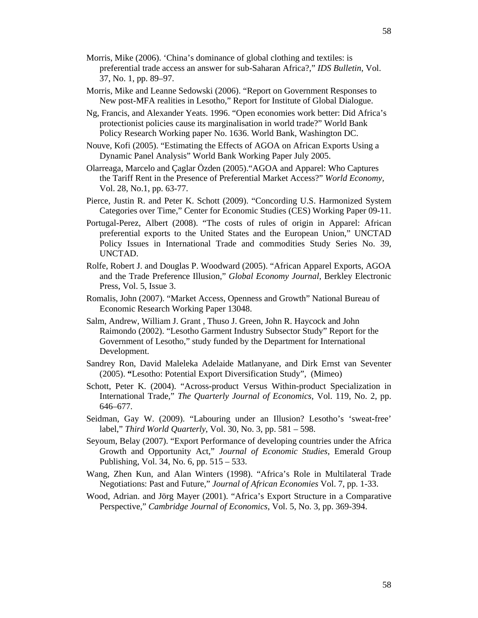- Morris, Mike (2006). 'China's dominance of global clothing and textiles: is preferential trade access an answer for sub-Saharan Africa?," *IDS Bulletin*, Vol. 37, No. 1, pp. 89–97.
- Morris, Mike and Leanne Sedowski (2006). "Report on Government Responses to New post-MFA realities in Lesotho," Report for Institute of Global Dialogue.
- Ng, Francis, and Alexander Yeats. 1996. "Open economies work better: Did Africa's protectionist policies cause its marginalisation in world trade?" World Bank Policy Research Working paper No. 1636. World Bank, Washington DC.
- Nouve, Kofi (2005). "Estimating the Effects of AGOA on African Exports Using a Dynamic Panel Analysis" World Bank Working Paper July 2005.
- Olarreaga, Marcelo and Çaglar Özden (2005)."AGOA and Apparel: Who Captures the Tariff Rent in the Presence of Preferential Market Access?" *World Economy,*  Vol. 28, No.1, pp. 63-77.
- Pierce, Justin R. and Peter K. Schott (2009). "Concording U.S. Harmonized System Categories over Time," Center for Economic Studies (CES) Working Paper 09-11.
- Portugal-Perez, Albert (2008). "The costs of rules of origin in Apparel: African preferential exports to the United States and the European Union," UNCTAD Policy Issues in International Trade and commodities Study Series No. 39, UNCTAD.
- Rolfe, Robert J. and Douglas P. Woodward (2005). "African Apparel Exports, AGOA and the Trade Preference Illusion," *Global Economy Journal*, Berkley Electronic Press, Vol. 5, Issue 3.
- Romalis, John (2007). "Market Access, Openness and Growth" National Bureau of Economic Research Working Paper 13048.
- Salm, Andrew, William J. Grant , Thuso J. Green, John R. Haycock and John Raimondo (2002). "Lesotho Garment Industry Subsector Study" Report for the Government of Lesotho," study funded by the Department for International Development.
- Sandrey Ron, David Maleleka Adelaide Matlanyane, and Dirk Ernst van Seventer (2005). **"**Lesotho: Potential Export Diversification Study", (Mimeo)
- Schott, Peter K. (2004). "Across-product Versus Within-product Specialization in International Trade," *The Quarterly Journal of Economics*, Vol. 119, No. 2, pp. 646–677.
- Seidman, Gay W. (2009). "Labouring under an Illusion? Lesotho's 'sweat-free' label," *Third World Quarterly*, Vol. 30, No. 3, pp. 581 – 598.
- Seyoum, Belay (2007). "Export Performance of developing countries under the Africa Growth and Opportunity Act," *Journal of Economic Studies*, Emerald Group Publishing, Vol. 34, No. 6, pp. 515 – 533.
- Wang, Zhen Kun, and Alan Winters (1998). "Africa's Role in Multilateral Trade Negotiations: Past and Future," *Journal of African Economies* Vol. 7, pp. 1-33.
- Wood, Adrian. and Jörg Mayer (2001). "Africa's Export Structure in a Comparative Perspective," *Cambridge Journal of Economics*, Vol. 5, No. 3, pp. 369-394.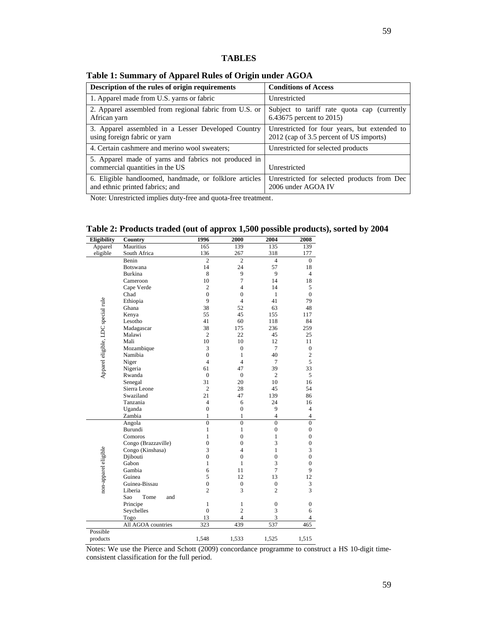# **TABLES**

# **Table 1: Summary of Apparel Rules of Origin under AGOA**

| Description of the rules of origin requirements                                           | <b>Conditions of Access</b>                                                             |
|-------------------------------------------------------------------------------------------|-----------------------------------------------------------------------------------------|
| 1. Apparel made from U.S. yarns or fabric                                                 | Unrestricted                                                                            |
| 2. Apparel assembled from regional fabric from U.S. or<br>African yarn                    | Subject to tariff rate quota cap (currently<br>6.43675 percent to 2015)                 |
| 3. Apparel assembled in a Lesser Developed Country<br>using foreign fabric or yarn        | Unrestricted for four years, but extended to<br>2012 (cap of 3.5 percent of US imports) |
| 4. Certain cashmere and merino wool sweaters;                                             | Unrestricted for selected products                                                      |
| 5. Apparel made of yarns and fabrics not produced in<br>commercial quantities in the US   | Unrestricted                                                                            |
| 6. Eligible handloomed, handmade, or folklore articles<br>and ethnic printed fabrics; and | Unrestricted for selected products from Dec<br>2006 under AGOA IV                       |

Note: Unrestricted implies duty-free and quota-free treatment .

|  | Table 2: Products traded (out of approx 1,500 possible products), sorted by 2004 |  |  |  |
|--|----------------------------------------------------------------------------------|--|--|--|
|--|----------------------------------------------------------------------------------|--|--|--|

| Eligibility                        | Country             | 1996           | 2000             | 2004                                                                                                                                                                                                                                                                                                                                                                                                        | 2008             |
|------------------------------------|---------------------|----------------|------------------|-------------------------------------------------------------------------------------------------------------------------------------------------------------------------------------------------------------------------------------------------------------------------------------------------------------------------------------------------------------------------------------------------------------|------------------|
| Apparel                            | Mauritius           | 165            | 139              | 135                                                                                                                                                                                                                                                                                                                                                                                                         | 139              |
| eligible                           | South Africa        | 136            | 267              | 318                                                                                                                                                                                                                                                                                                                                                                                                         | 177              |
|                                    | Benin               | $\overline{2}$ | $\overline{2}$   | $\overline{4}$                                                                                                                                                                                                                                                                                                                                                                                              | $\overline{0}$   |
|                                    | <b>Botswana</b>     | 14             | 24               | 57                                                                                                                                                                                                                                                                                                                                                                                                          | 18               |
|                                    | <b>Burkina</b>      | 8              | 9                | 9                                                                                                                                                                                                                                                                                                                                                                                                           | $\overline{4}$   |
|                                    | Cameroon            | 10             | 7                | 14                                                                                                                                                                                                                                                                                                                                                                                                          | 18               |
|                                    | Cape Verde          | $\overline{c}$ | 4                | 14                                                                                                                                                                                                                                                                                                                                                                                                          | 5                |
|                                    | Chad                | $\overline{0}$ | $\overline{0}$   | $\mathbf{1}$                                                                                                                                                                                                                                                                                                                                                                                                | $\overline{0}$   |
| Apparel eligible, LDC special rule | Ethiopia            | 9              | $\overline{4}$   | 41                                                                                                                                                                                                                                                                                                                                                                                                          | 79               |
|                                    | Ghana               | 38             | 52               | 63                                                                                                                                                                                                                                                                                                                                                                                                          | 48               |
|                                    | Kenya               | 55             | 45               | 155                                                                                                                                                                                                                                                                                                                                                                                                         | 117              |
|                                    | Lesotho             | 41             | 60               | 118                                                                                                                                                                                                                                                                                                                                                                                                         | 84               |
|                                    | Madagascar          | 38             | 175              | 236                                                                                                                                                                                                                                                                                                                                                                                                         | 259              |
|                                    | Malawi              | $\overline{2}$ | 22               | 45                                                                                                                                                                                                                                                                                                                                                                                                          | 25               |
|                                    | Mali                | 10             | 10               | 12                                                                                                                                                                                                                                                                                                                                                                                                          | 11               |
|                                    | Mozambique          | 3              | $\overline{0}$   | $\overline{7}$                                                                                                                                                                                                                                                                                                                                                                                              | $\boldsymbol{0}$ |
|                                    | Namibia             | $\overline{0}$ | $\mathbf{1}$     | 40                                                                                                                                                                                                                                                                                                                                                                                                          | $\mathfrak{2}$   |
|                                    | Niger               | 4              | $\overline{4}$   | 7                                                                                                                                                                                                                                                                                                                                                                                                           | 5                |
|                                    | Nigeria             | 61             | 47               | 39                                                                                                                                                                                                                                                                                                                                                                                                          | 33               |
|                                    | Rwanda              | $\mathbf{0}$   | $\mathbf{0}$     | $\mathfrak{2}$                                                                                                                                                                                                                                                                                                                                                                                              | 5                |
|                                    | Senegal             | 31             | 20               | 10                                                                                                                                                                                                                                                                                                                                                                                                          | 16               |
|                                    | Sierra Leone        | $\overline{2}$ | 28               | 45                                                                                                                                                                                                                                                                                                                                                                                                          | 54               |
|                                    | Swaziland           | 21             | 47               | 139                                                                                                                                                                                                                                                                                                                                                                                                         | 86               |
|                                    | Tanzania            | $\overline{4}$ | 6                | 24                                                                                                                                                                                                                                                                                                                                                                                                          | 16               |
|                                    | Uganda              | $\mathbf{0}$   | $\mathbf{0}$     | 9                                                                                                                                                                                                                                                                                                                                                                                                           | $\overline{4}$   |
|                                    | Zambia              | $\mathbf{1}$   | $\mathbf{1}$     | $\overline{4}$                                                                                                                                                                                                                                                                                                                                                                                              | $\overline{4}$   |
|                                    | Angola              | $\overline{0}$ | $\overline{0}$   | $\theta$<br>$\overline{0}$<br>$\boldsymbol{0}$<br>$\boldsymbol{0}$<br>$\mathbf{1}$<br>$\overline{0}$<br>3<br>$\overline{0}$<br>3<br>$\mathbf{1}$<br>$\boldsymbol{0}$<br>$\boldsymbol{0}$<br>3<br>$\overline{0}$<br>$\overline{7}$<br>9<br>13<br>12<br>$\boldsymbol{0}$<br>3<br>3<br>$\overline{c}$<br>$\boldsymbol{0}$<br>$\boldsymbol{0}$<br>3<br>6<br>3<br>$\overline{4}$<br>537<br>465<br>1,525<br>1,515 |                  |
|                                    | Burundi             | 1              | $\mathbf{1}$     |                                                                                                                                                                                                                                                                                                                                                                                                             |                  |
|                                    | Comoros             | $\mathbf{1}$   | $\overline{0}$   |                                                                                                                                                                                                                                                                                                                                                                                                             |                  |
|                                    | Congo (Brazzaville) | $\overline{0}$ | $\overline{0}$   |                                                                                                                                                                                                                                                                                                                                                                                                             |                  |
| non-apparel eligible               | Congo (Kinshasa)    | 3              | 4                |                                                                                                                                                                                                                                                                                                                                                                                                             |                  |
|                                    | Djibouti            | $\overline{0}$ | $\mathbf{0}$     |                                                                                                                                                                                                                                                                                                                                                                                                             |                  |
|                                    | Gabon               | 1              | 1                |                                                                                                                                                                                                                                                                                                                                                                                                             |                  |
|                                    | Gambia              | 6              | 11               |                                                                                                                                                                                                                                                                                                                                                                                                             |                  |
|                                    | Guinea              | 5              | 12               |                                                                                                                                                                                                                                                                                                                                                                                                             |                  |
|                                    | Guinea-Bissau       | $\mathbf{0}$   | $\boldsymbol{0}$ |                                                                                                                                                                                                                                                                                                                                                                                                             |                  |
|                                    | Liberia             | $\overline{c}$ | 3                |                                                                                                                                                                                                                                                                                                                                                                                                             |                  |
|                                    | Sao<br>Tome<br>and  |                |                  |                                                                                                                                                                                                                                                                                                                                                                                                             |                  |
|                                    | Principe            | $\mathbf{1}$   | $\mathbf{1}$     |                                                                                                                                                                                                                                                                                                                                                                                                             |                  |
|                                    | Seychelles          | $\overline{0}$ | $\overline{c}$   |                                                                                                                                                                                                                                                                                                                                                                                                             |                  |
|                                    | Togo                | 13             | $\overline{4}$   |                                                                                                                                                                                                                                                                                                                                                                                                             |                  |
|                                    | All AGOA countries  | 323            | 439              |                                                                                                                                                                                                                                                                                                                                                                                                             |                  |
| Possible                           |                     |                |                  |                                                                                                                                                                                                                                                                                                                                                                                                             |                  |
| products                           |                     | 1,548          | 1,533            |                                                                                                                                                                                                                                                                                                                                                                                                             |                  |

Notes: We use the Pierce and Schott (2009) concordance programme to construct a HS 10-digit timeconsistent classification for the full period.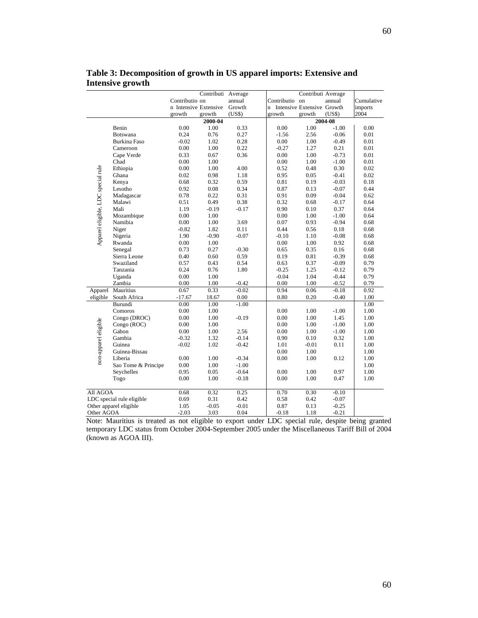|                                    |                           | Contributi Average    |         |         |                              |                    |         |            |
|------------------------------------|---------------------------|-----------------------|---------|---------|------------------------------|--------------------|---------|------------|
|                                    |                           | Contributio on        |         | annual  | Contributio on               | Contributi Average | annual  | Cumulative |
|                                    |                           | n Intensive Extensive |         | Growth  | n Intensive Extensive Growth |                    |         | imports    |
|                                    |                           | growth                | growth  | (US\$)  | growth                       | growth             | (US\$)  | 2004       |
|                                    |                           |                       | 2000-04 |         |                              |                    | 2004-08 |            |
|                                    | Benin                     | 0.00                  | 1.00    | 0.33    | 0.00                         | 1.00               | $-1.00$ | 0.00       |
|                                    | <b>Botswana</b>           | 0.24                  | 0.76    | 0.27    | $-1.56$                      | 2.56               | $-0.06$ | 0.01       |
|                                    | <b>Burkina Faso</b>       | $-0.02$               | 1.02    | 0.28    | 0.00                         | 1.00               | $-0.49$ | 0.01       |
|                                    | Cameroon                  | 0.00                  | 1.00    | 0.22    | $-0.27$                      | 1.27               | 0.21    | 0.01       |
|                                    | Cape Verde                | 0.33                  | 0.67    | 0.36    | 0.00                         | 1.00               | $-0.73$ | 0.01       |
|                                    | Chad                      | 0.00                  | 1.00    |         | 0.00                         | 1.00               | $-1.00$ | 0.01       |
|                                    | Ethiopia                  | 0.00                  | 1.00    | 4.00    | 0.52                         | 0.48               | 0.30    | 0.02       |
|                                    | Ghana                     | 0.02                  | 0.98    | 1.18    | 0.95                         | 0.05               | $-0.41$ | 0.02       |
|                                    | Kenya                     | 0.68                  | 0.32    | 0.59    | 0.81                         | 0.19               | $-0.03$ | 0.18       |
|                                    | Lesotho                   | 0.92                  | 0.08    | 0.34    | 0.87                         | 0.13               | $-0.07$ | 0.44       |
|                                    | Madagascar                | 0.78                  | 0.22    | 0.31    | 0.91                         | 0.09               | $-0.04$ | 0.62       |
|                                    | Malawi                    | 0.51                  | 0.49    | 0.38    | 0.32                         | 0.68               | $-0.17$ | 0.64       |
|                                    | Mali                      | 1.19                  | $-0.19$ | $-0.17$ | 0.90                         | 0.10               | 0.37    | 0.64       |
|                                    | Mozambique                | 0.00                  | 1.00    |         | 0.00                         | 1.00               | $-1.00$ | 0.64       |
|                                    | Namibia                   | $0.00\,$              | 1.00    | 3.69    | 0.07                         | 0.93               | $-0.94$ | 0.68       |
|                                    | Niger                     | $-0.82$               | 1.82    | 0.11    | 0.44                         | 0.56               | 0.18    | 0.68       |
|                                    | Nigeria                   | 1.90                  | $-0.90$ | $-0.07$ | $-0.10$                      | 1.10               | $-0.08$ | 0.68       |
| Apparel eligible, LDC special rule | Rwanda                    | 0.00                  | 1.00    |         | $0.00\,$                     | 1.00               | 0.92    | 0.68       |
|                                    | Senegal                   | 0.73                  | 0.27    | $-0.30$ | 0.65                         | 0.35               | 0.16    | 0.68       |
|                                    | Sierra Leone              | 0.40                  | 0.60    | 0.59    | 0.19                         | 0.81               | $-0.39$ | 0.68       |
|                                    | Swaziland                 | 0.57                  | 0.43    | 0.54    | 0.63                         | 0.37               | $-0.09$ | 0.79       |
|                                    | Tanzania                  | 0.24                  | 0.76    | 1.80    | $-0.25$                      | 1.25               | $-0.12$ | 0.79       |
|                                    | Uganda                    | 0.00                  | 1.00    |         | $-0.04$                      | 1.04               | $-0.44$ | 0.79       |
|                                    | Zambia                    | 0.00                  | 1.00    | $-0.42$ | 0.00                         | 1.00               | $-0.52$ | 0.79       |
| Apparel                            | Mauritius                 | 0.67                  | 0.33    | $-0.02$ | 0.94                         | 0.06               | $-0.18$ | 0.92       |
| eligible                           | South Africa              | $-17.67$              | 18.67   | 0.00    | 0.80                         | 0.20               | $-0.40$ | 1.00       |
|                                    | Burundi                   | 0.00                  | 1.00    | $-1.00$ |                              |                    |         | 1.00       |
|                                    | Comoros                   | 0.00                  | 1.00    |         | 0.00                         | 1.00               | $-1.00$ | 1.00       |
|                                    | Congo (DROC)              | 0.00                  | 1.00    | $-0.19$ | 0.00                         | 1.00               | 1.45    | 1.00       |
|                                    | Congo (ROC)               | 0.00                  | 1.00    |         | 0.00                         | 1.00               | $-1.00$ | 1.00       |
|                                    | Gabon                     | 0.00                  | 1.00    | 2.56    | 0.00                         | 1.00               | $-1.00$ | 1.00       |
|                                    | Gambia                    | $-0.32$               | 1.32    | $-0.14$ | 0.90                         | 0.10               | 0.32    | 1.00       |
|                                    | Guinea                    | $-0.02$               | 1.02    | $-0.42$ | 1.01                         | $-0.01$            | 0.11    | 1.00       |
|                                    | Guinea-Bissau             |                       |         |         | 0.00                         | 1.00               |         | 1.00       |
| non-apparel eligible               |                           |                       |         |         |                              |                    |         |            |
|                                    | Liberia                   | 0.00                  | 1.00    | $-0.34$ | 0.00                         | 1.00               | 0.12    | 1.00       |
|                                    | Sao Tome & Principe       | 0.00                  | 1.00    | $-1.00$ |                              |                    |         | 1.00       |
|                                    | Seychelles                | 0.95                  | 0.05    | $-0.64$ | 0.00                         | 1.00               | 0.97    | 1.00       |
|                                    | Togo                      | 0.00                  | 1.00    | $-0.18$ | 0.00                         | 1.00               | 0.47    | 1.00       |
| All AGOA                           |                           | 0.68                  | 0.32    | 0.25    | 0.70                         | 0.30               | $-0.10$ |            |
|                                    | LDC special rule eligible | 0.69                  | 0.31    | 0.42    | 0.58                         | 0.42               | $-0.07$ |            |
|                                    | Other apparel eligible    | 1.05                  | $-0.05$ | $-0.01$ | 0.87                         | 0.13               | $-0.25$ |            |
| Other AGOA                         |                           | $-2.03$               | 3.03    | 0.04    | $-0.18$                      | 1.18               | $-0.21$ |            |

**Table 3: Decomposition of growth in US apparel imports: Extensive and Intensive growth** 

Note: Mauritius is treated as not eligible to export under LDC special rule, despite being granted temporary LDC status from October 2004-September 2005 under the Miscellaneous Tariff Bill of 2004 (known as AGOA III).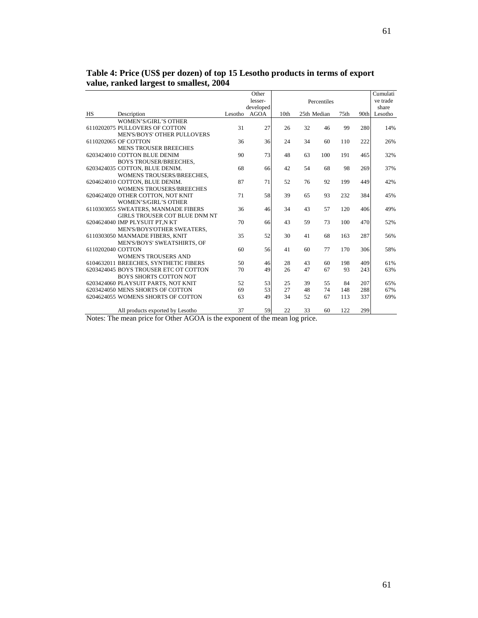|                   |                                       |         | Other     |      |             |             |                  |      | Cumulati |
|-------------------|---------------------------------------|---------|-----------|------|-------------|-------------|------------------|------|----------|
|                   |                                       |         | lesser-   |      |             | Percentiles |                  |      | ve trade |
|                   |                                       |         | developed |      |             |             |                  |      | share    |
| <b>HS</b>         | Description                           | Lesotho | AGOA      | 10th | 25th Median |             | 75 <sub>th</sub> | 90th | Lesotho  |
|                   | <b>WOMEN'S/GIRL'S OTHER</b>           |         |           |      |             |             |                  |      |          |
|                   | 6110202075 PULLOVERS OF COTTON        | 31      | 27        | 26   | 32          | 46          | 99               | 280  | 14%      |
|                   | MEN'S/BOYS' OTHER PULLOVERS           |         |           |      |             |             |                  |      |          |
|                   | 6110202065 OF COTTON                  | 36      | 36        | 24   | 34          | 60          | 110              | 222  | 26%      |
|                   | <b>MENS TROUSER BREECHES</b>          |         |           |      |             |             |                  |      |          |
|                   | 6203424010 COTTON BLUE DENIM          | 90      | 73        | 48   | 63          | 100         | 191              | 465  | 32%      |
|                   | <b>BOYS TROUSER/BREECHES.</b>         |         |           |      |             |             |                  |      |          |
|                   | 6203424035 COTTON, BLUE DENIM.        | 68      | 66        | 42   | 54          | 68          | 98               | 269  | 37%      |
|                   | WOMENS TROUSERS/BREECHES,             |         |           |      |             |             |                  |      |          |
|                   | 6204624010 COTTON, BLUE DENIM.        | 87      | 71        | 52   | 76          | 92          | 199              | 449  | 42%      |
|                   | <b>WOMENS TROUSERS/BREECHES</b>       |         |           |      |             |             |                  |      |          |
|                   | 6204624020 OTHER COTTON, NOT KNIT     | 71      | 58        | 39   | 65          | 93          | 232              | 384  | 45%      |
|                   | <b>WOMEN'S/GIRL'S OTHER</b>           |         |           |      |             |             |                  |      |          |
|                   | 6110303055 SWEATERS, MANMADE FIBERS   | 36      | 46        | 34   | 43          | 57          | 120              | 406  | 49%      |
|                   | GIRLS TROUSER COT BLUE DNM NT         |         |           |      |             |             |                  |      |          |
|                   | 6204624040 IMP PLYSUIT PT,N KT        | 70      | 66        | 43   | 59          | 73          | 100              | 470  | 52%      |
|                   | MEN'S/BOYS'OTHER SWEATERS,            |         |           |      |             |             |                  |      |          |
|                   | 6110303050 MANMADE FIBERS, KNIT       | 35      | 52        | 30   | 41          | 68          | 163              | 287  | 56%      |
|                   | MEN'S/BOYS' SWEATSHIRTS, OF           |         |           |      |             |             |                  |      |          |
| 6110202040 COTTON |                                       | 60      | 56        | 41   | 60          | 77          | 170              | 306  | 58%      |
|                   | <b>WOMEN'S TROUSERS AND</b>           |         |           |      |             |             |                  |      |          |
|                   | 6104632011 BREECHES, SYNTHETIC FIBERS | 50      | 46        | 28   | 43          | 60          | 198              | 409  | 61%      |
|                   | 6203424045 BOYS TROUSER ETC OT COTTON | 70      | 49        | 26   | 47          | 67          | 93               | 243  | 63%      |
|                   | <b>BOYS SHORTS COTTON NOT</b>         |         |           |      |             |             |                  |      |          |
|                   | 6203424060 PLAYSUIT PARTS, NOT KNIT   | 52      | 53        | 25   | 39          | 55          | 84               | 207  | 65%      |
|                   | 6203424050 MENS SHORTS OF COTTON      | 69      | 53        | 27   | 48          | 74          | 148              | 288  | 67%      |
|                   | 6204624055 WOMENS SHORTS OF COTTON    | 63      | 49        | 34   | 52          | 67          | 113              | 337  | 69%      |
|                   |                                       |         |           |      |             |             |                  |      |          |
|                   | All products exported by Lesotho      | 37      | 59        | 22   | 33          | 60          | 122              | 299  |          |

**Table 4: Price (US\$ per dozen) of top 15 Lesotho products in terms of export value, ranked largest to smallest, 2004** 

Notes: The mean price for Other AGOA is the exponent of the mean log price.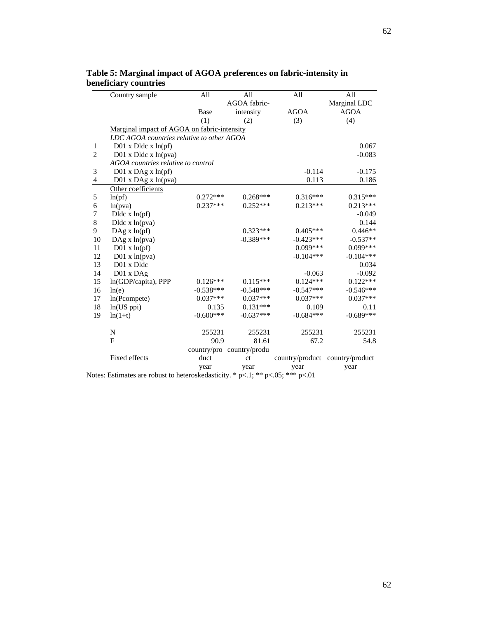|                | Country sample                              | All         | All           | All         | All                             |
|----------------|---------------------------------------------|-------------|---------------|-------------|---------------------------------|
|                |                                             |             | AGOA fabric-  |             | Marginal LDC                    |
|                |                                             | Base        | intensity     | AGOA        | <b>AGOA</b>                     |
|                |                                             | (1)         | (2)           | (3)         | (4)                             |
|                | Marginal impact of AGOA on fabric-intensity |             |               |             |                                 |
|                | LDC AGOA countries relative to other AGOA   |             |               |             |                                 |
| 1              | $D01$ x $D$ ldc x $ln(pf)$                  |             |               |             | 0.067                           |
| $\overline{2}$ | $D01$ x $D$ ldc x $ln(pva)$                 |             |               |             | $-0.083$                        |
|                | AGOA countries relative to control          |             |               |             |                                 |
| 3              | D01 x DAg x In(pf)                          |             |               | $-0.114$    | $-0.175$                        |
| 4              | D01 x DAg x In(pva)                         |             |               | 0.113       | 0.186                           |
|                | Other coefficients                          |             |               |             |                                 |
| 5              | ln(pt)                                      | $0.272***$  | $0.268***$    | $0.316***$  | $0.315***$                      |
| 6              | ln(pva)                                     | $0.237***$  | $0.252***$    | $0.213***$  | $0.213***$                      |
| 7              | $D$ ldc x $ln(pt)$                          |             |               |             | $-0.049$                        |
| 8              | $D$ ldc x $ln(pva)$                         |             |               |             | 0.144                           |
| 9              | $\text{DAg} x \ln(\text{pf})$               |             | $0.323***$    | $0.405***$  | $0.446**$                       |
| 10             | DAg x ln(pva)                               |             | $-0.389***$   | $-0.423***$ | $-0.537**$                      |
| 11             | $D01 \times ln(pf)$                         |             |               | $0.099***$  | 0.099***                        |
| 12             | $D01 \times ln(pva)$                        |             |               | $-0.104***$ | $-0.104***$                     |
| 13             | D01 x Dldc                                  |             |               |             | 0.034                           |
| 14             | $D01 \times DAg$                            |             |               | $-0.063$    | $-0.092$                        |
| 15             | ln(GDP/capita), PPP                         | $0.126***$  | $0.115***$    | $0.124***$  | $0.122***$                      |
| 16             | ln(e)                                       | $-0.538***$ | $-0.548***$   | $-0.547***$ | $-0.546***$                     |
| 17             | ln(Pcompete)                                | $0.037***$  | $0.037***$    | $0.037***$  | $0.037***$                      |
| 18             | $ln(US$ ppi $)$                             | 0.135       | $0.131***$    | 0.109       | 0.11                            |
| 19             | $ln(1+t)$                                   | $-0.600***$ | $-0.637***$   | $-0.684***$ | $-0.689***$                     |
|                | $\mathbf N$                                 | 255231      | 255231        | 255231      | 255231                          |
|                | $\overline{F}$                              | 90.9        | 81.61         | 67.2        | 54.8                            |
|                |                                             | country/pro | country/produ |             |                                 |
|                | Fixed effects                               | duct        | ct            |             | country/product country/product |
|                |                                             | year        | year          | year        | year                            |

**Table 5: Marginal impact of AGOA preferences on fabric-intensity in beneficiary countries** 

Notes: Estimates are robust to heteroskedasticity. \* p<.1; \*\* p<.05; \*\*\* p<.01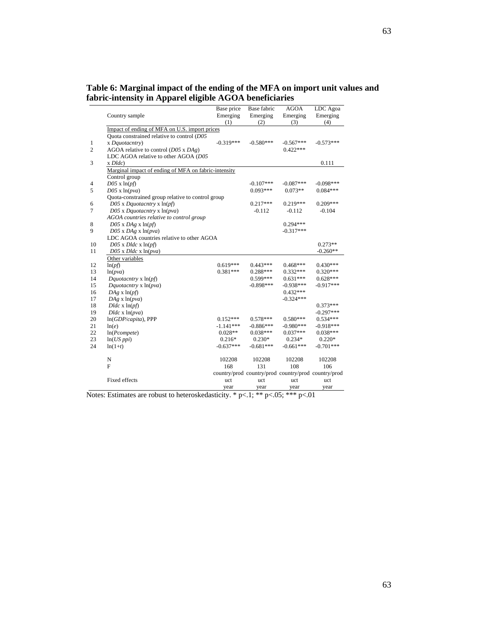## **Table 6: Marginal impact of the ending of the MFA on import unit values and fabric-intensity in Apparel eligible AGOA beneficiaries**

|                |                                                      | Base price  | Base fabric | <b>AGOA</b> | LDC Agoa                                            |
|----------------|------------------------------------------------------|-------------|-------------|-------------|-----------------------------------------------------|
|                | Country sample                                       | Emerging    | Emerging    | Emerging    | Emerging                                            |
|                |                                                      | (1)         | (2)         | (3)         | (4)                                                 |
|                | Impact of ending of MFA on U.S. import prices        |             |             |             |                                                     |
|                | Quota constrained relative to control (D05           |             |             |             |                                                     |
| 1              | x Dquotacntry)                                       | $-0.319***$ | $-0.580***$ | $-0.567***$ | $-0.573***$                                         |
| $\overline{2}$ | AGOA relative to control $(D05 \times DAg)$          |             |             | $0.422***$  |                                                     |
|                | LDC AGOA relative to other AGOA (D05                 |             |             |             |                                                     |
| 3              | $x D \, d c$                                         |             |             |             | 0.111                                               |
|                | Marginal impact of ending of MFA on fabric-intensity |             |             |             |                                                     |
|                | Control group                                        |             |             |             |                                                     |
| 4              | $D05 \times \ln(pt)$                                 |             | $-0.107***$ | $-0.087***$ | $-0.098***$                                         |
| 5              | $D05 \times \ln(pva)$                                |             | $0.093***$  | $0.073**$   | $0.084***$                                          |
|                | Quota-constrained group relative to control group    |             |             |             |                                                     |
| 6              | D05 x Dquotacntry x ln(pf)                           |             | $0.217***$  | 0.219***    | $0.209***$                                          |
| $\tau$         | $D05$ x Dquotacntry x $ln(pva)$                      |             | $-0.112$    | $-0.112$    | $-0.104$                                            |
|                | AGOA countries relative to control group             |             |             |             |                                                     |
| 8              | $D05$ x $DAg$ x $ln(pf)$                             |             |             | $0.294***$  |                                                     |
| 9              | $D05$ x $DAg$ x $ln(pva)$                            |             |             | $-0.317***$ |                                                     |
|                | LDC AGOA countries relative to other AGOA            |             |             |             |                                                     |
| 10             | $D05$ x $Dldc$ x $ln(pf)$                            |             |             |             | $0.273**$                                           |
| 11             | $D05$ x $D$ ldc x $ln(pva)$                          |             |             |             | $-0.260**$                                          |
|                | Other variables                                      |             |             |             |                                                     |
| 12             | ln(pf)                                               | $0.619***$  | $0.443***$  | $0.468***$  | $0.430***$                                          |
| 13             | ln(pva)                                              | $0.381***$  | $0.288***$  | $0.332***$  | $0.320***$                                          |
| 14             | Dquotacntry $x \ln(pt)$                              |             | $0.599***$  | $0.631***$  | $0.628***$                                          |
| 15             | Dquotacntry $x \ln(pva)$                             |             | $-0.898***$ | $-0.938***$ | $-0.917***$                                         |
| 16             | $DAg \times \ln(pt)$                                 |             |             | $0.432***$  |                                                     |
| 17             | $DAg \times ln(pva)$                                 |             |             | $-0.324***$ |                                                     |
| 18             | $Dldc \times \ln(pt)$                                |             |             |             | $0.373***$                                          |
| 19             | $Dldc \times ln(pva)$                                |             |             |             | $-0.297***$                                         |
| 20             | $ln(GDP/capita)$ , PPP                               | $0.152***$  | $0.578***$  | $0.580***$  | $0.534***$                                          |
| 21             | ln(e)                                                | $-1.141***$ | $-0.886***$ | $-0.980***$ | $-0.918***$                                         |
| 22             | ln(Pcompute)                                         | $0.028**$   | $0.038***$  | $0.037***$  | $0.038***$                                          |
| 23             | $ln(US$ ppi)                                         | $0.216*$    | $0.230*$    | $0.234*$    | $0.220*$                                            |
| 24             | $ln(1+t)$                                            | $-0.637***$ | $-0.681***$ | $-0.661***$ | $-0.701***$                                         |
|                | N                                                    | 102208      | 102208      | 102208      | 102208                                              |
|                | $_{\rm F}$                                           | 168         | 131         | 108         | 106                                                 |
|                |                                                      |             |             |             | country/prod country/prod country/prod country/prod |
|                | <b>Fixed effects</b>                                 | uct         | uct         | uct         | uct                                                 |
|                |                                                      | year        | year        | year        | year                                                |
|                |                                                      |             |             |             |                                                     |

Notes: Estimates are robust to heteroskedasticity. \* p<.1; \*\* p<.05; \*\*\* p<.01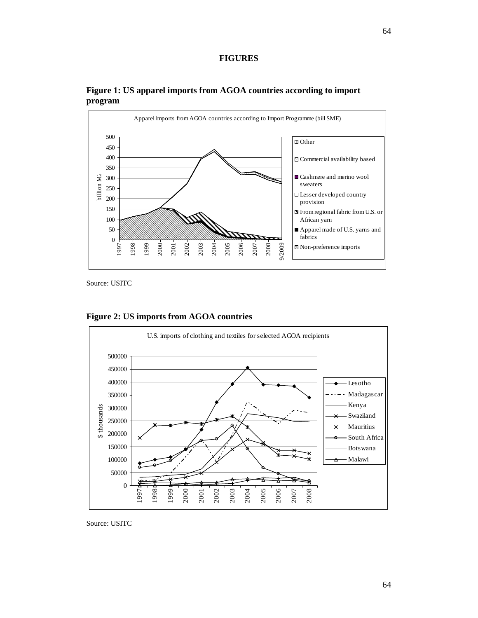

**Figure 1: US apparel imports from AGOA countries according to import program** 

Source: USITC



**Figure 2: US imports from AGOA countries** 

Source: USITC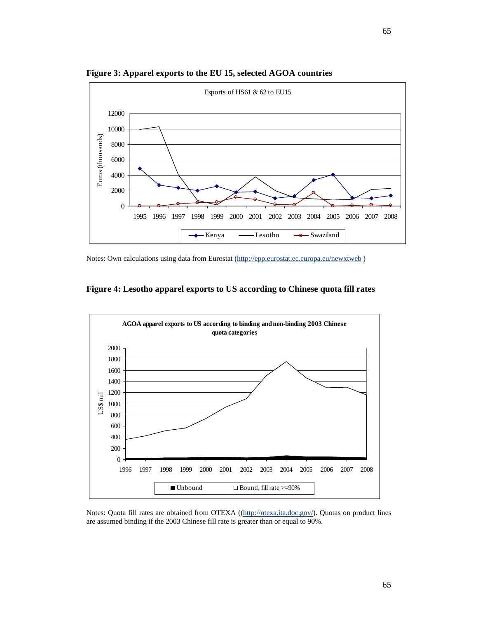

**Figure 3: Apparel exports to the EU 15, selected AGOA countries** 

Notes: Own calculations using data from Eurostat (http://epp.eurostat.ec.europa.eu/newxtweb )





Notes: Quota fill rates are obtained from OTEXA ((http://otexa.ita.doc.gov/). Quotas on product lines are assumed binding if the 2003 Chinese fill rate is greater than or equal to 90%.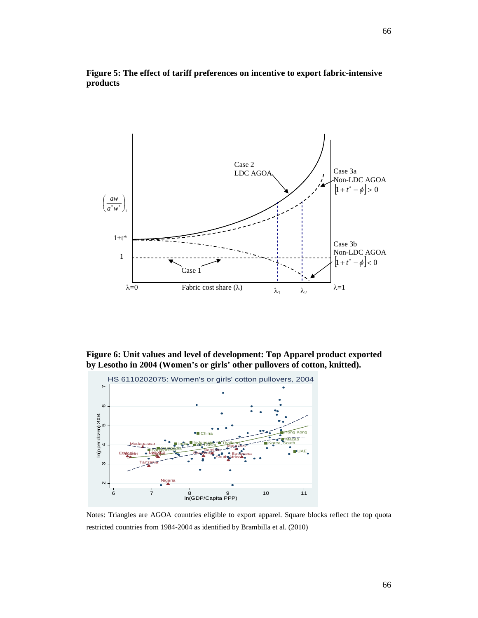

## **Figure 5: The effect of tariff preferences on incentive to export fabric-intensive products**

**Figure 6: Unit values and level of development: Top Apparel product exported by Lesotho in 2004 (Women's or girls' other pullovers of cotton, knitted).**



Notes: Triangles are AGOA countries eligible to export apparel. Square blocks reflect the top quota restricted countries from 1984-2004 as identified by Brambilla et al. (2010)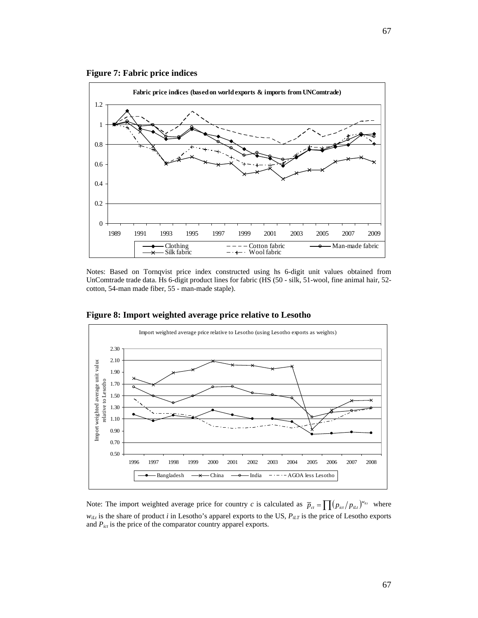



Notes: Based on Tornqvist price index constructed using hs 6-digit unit values obtained from UnComtrade trade data. Hs 6-digit product lines for fabric (HS (50 - silk, 51-wool, fine animal hair, 52 cotton, 54-man made fiber, 55 - man-made staple).



**Figure 8: Import weighted average price relative to Lesotho** 

Note: The import weighted average price for country *c* is calculated as  $\bar{p}_{ct} = \prod (p_{ict}/p_{it})^{w_{it}}$  where *wiLt* is the share of product *i* in Lesotho's apparel exports to the US, *PiLT* is the price of Lesotho exports and *Pict* is the price of the comparator country apparel exports.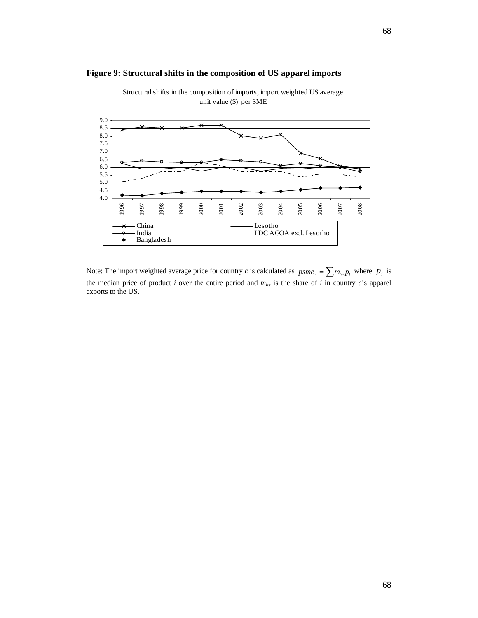

**Figure 9: Structural shifts in the composition of US apparel imports** 

Note: The import weighted average price for country *c* is calculated as  $psme_{ct} = \sum m_{ict}\overline{p}_i$  where  $\overline{p}_i$  is the median price of product *i* over the entire period and *mict* is the share of *i* in country *c*'s apparel exports to the US.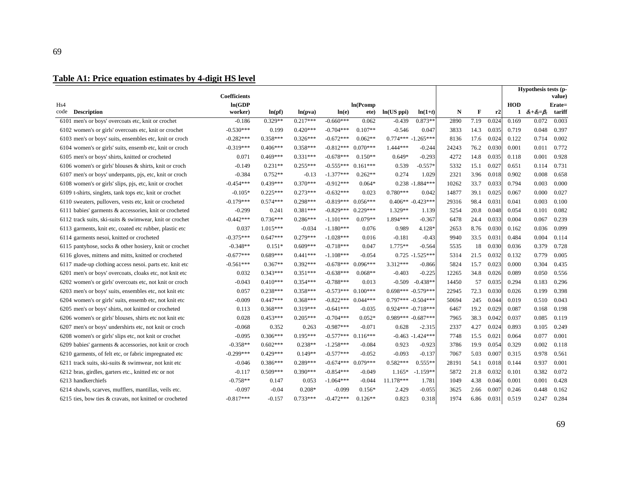# **Table A1: Price equation estimates by 4-digit HS level**

|      |                                                           | <b>Coefficients</b> |            |            |             |            |                      |                     |       |      |       |            | Hypothesis tests (p-          | value) |
|------|-----------------------------------------------------------|---------------------|------------|------------|-------------|------------|----------------------|---------------------|-------|------|-------|------------|-------------------------------|--------|
| Hs4  |                                                           | ln(GDP)             |            |            |             | ln(Pcomp)  |                      |                     |       |      |       | <b>HOD</b> |                               | Erate= |
| code | <b>Description</b>                                        | worker)             | ln(pt)     | ln(pva)    | ln(e)       | ete)       | ln(US ppi)           | $ln(1+t)$           | N     | F    | r2    |            | 1 $\delta_1+\delta_2=\beta_2$ | tariff |
|      | 6101 men's or boys' overcoats etc, knit or crochet        | $-0.186$            | $0.329**$  | $0.217***$ | $-0.660***$ | 0.062      | $-0.439$             | $0.873**$           | 2890  | 7.19 | 0.024 | 0.169      | 0.072                         | 0.003  |
|      | 6102 women's or girls' overcoats etc, knit or crochet     | $-0.530***$         | 0.199      | $0.420***$ | $-0.704***$ | $0.107**$  | $-0.546$             | 0.047               | 3833  | 14.3 | 0.035 | 0.719      | 0.048                         | 0.397  |
|      | 6103 men's or boys' suits, ensembles etc, knit or croch   | $-0.282***$         | $0.358***$ | $0.326***$ | $-0.672***$ | $0.062**$  | $0.774***$ -1.265*** |                     | 8136  | 17.6 | 0.024 | 0.122      | 0.714                         | 0.002  |
|      | 6104 women's or girls' suits, ensemb etc, knit or croch   | $-0.319***$         | $0.406***$ | $0.358***$ | $-0.812***$ | $0.070***$ | 1.444***             | $-0.244$            | 24243 | 76.2 | 0.030 | 0.001      | 0.011                         | 0.772  |
|      | 6105 men's or boys' shirts, knitted or crocheted          | 0.071               | $0.469***$ | $0.331***$ | $-0.678***$ | $0.150**$  | $0.649*$             | $-0.293$            | 4272  | 14.8 | 0.035 | 0.118      | 0.001                         | 0.928  |
|      | 6106 women's or girls' blouses $\&$ shirts, knit or croch | $-0.149$            | $0.231**$  | $0.255***$ | $-0.555***$ | $0.161***$ | 0.539                | $-0.557*$           | 5332  | 15.1 | 0.027 | 0.651      | 0.114                         | 0.731  |
|      | 6107 men's or boys' underpants, pjs, etc, knit or croch   | $-0.384$            | $0.752**$  | $-0.13$    | $-1.377***$ | $0.262**$  | 0.274                | 1.029               | 2321  | 3.96 | 0.018 | 0.902      | 0.008                         | 0.658  |
|      | 6108 women's or girls' slips, pjs, etc, knit or crochet   | $-0.454***$         | $0.439***$ | $0.370***$ | $-0.912***$ | $0.064*$   |                      | $0.238 - 1.884***$  | 10262 | 33.7 | 0.033 | 0.794      | 0.003                         | 0.000  |
|      | 6109 t-shirts, singlets, tank tops etc, knit or crochet   | $-0.105*$           | $0.225***$ | $0.273***$ | $-0.632***$ | 0.023      | $0.780***$           | 0.042               | 14877 | 39.1 | 0.025 | 0.067      | 0.000                         | 0.027  |
|      | 6110 sweaters, pullovers, vests etc, knit or crocheted    | $-0.179***$         | $0.574***$ | $0.298***$ | $-0.819***$ | $0.056***$ | $0.406** -0.423***$  |                     | 29316 | 98.4 | 0.031 | 0.041      | 0.003                         | 0.100  |
|      | 6111 babies' garments & accessories, knit or crocheted    | $-0.299$            | 0.241      | $0.381***$ | $-0.829***$ | $0.229***$ | $1.329**$            | 1.139               | 5254  | 20.8 | 0.048 | 0.054      | 0.101                         | 0.082  |
|      | 6112 track suits, ski-suits & swimwear, knit or crochet   | $-0.442***$         | $0.736***$ | $0.286***$ | $-1.101***$ | $0.079**$  | 1.894 ***            | $-0.367$            | 6478  | 24.4 | 0.033 | 0.004      | 0.067                         | 0.239  |
|      | 6113 garments, knit etc, coated etc rubber, plastic etc   | 0.037               | $1.015***$ | $-0.034$   | $-1.180***$ | 0.076      | 0.989                | 4.128*              | 2653  | 8.76 | 0.030 | 0.162      | 0.036                         | 0.099  |
|      | 6114 garments nesoi, knitted or crocheted                 | $-0.375***$         | $0.647***$ | $0.279***$ | $-1.028***$ | 0.016      | $-0.181$             | $-0.43$             | 9940  | 33.5 | 0.031 | 0.484      | 0.004                         | 0.114  |
|      | 6115 pantyhose, socks & other hosiery, knit or crochet    | $-0.348**$          | $0.151*$   | $0.609***$ | $-0.718***$ | 0.047      | $1.775**$            | $-0.564$            | 5535  | 18   | 0.030 | 0.036      | 0.379                         | 0.728  |
|      | 6116 gloves, mittens and mitts, knitted or crocheted      | $-0.677***$         | $0.689***$ | $0.441***$ | $-1.108***$ | $-0.054$   |                      | $0.725 - 1.525***$  | 5314  | 21.5 | 0.032 | 0.132      | 0.779                         | 0.005  |
|      | 6117 made-up clothing access nesoi. parts etc. knit etc   | $-0.561***$         | $0.367**$  | $0.392***$ | $-0.678***$ | $0.096***$ | $3.312***$           | $-0.866$            | 5824  | 15.7 | 0.023 | 0.000      | 0.304                         | 0.435  |
|      | 6201 men's or boys' overcoats, cloaks etc, not knit etc   | 0.032               | $0.343***$ | $0.351***$ | $-0.638***$ | $0.068**$  | $-0.403$             | $-0.225$            | 12265 | 34.8 | 0.026 | 0.089      | 0.050                         | 0.556  |
|      | 6202 women's or girls' overcoats etc, not knit or croch   | $-0.043$            | $0.410***$ | $0.354***$ | $-0.788***$ | 0.013      | $-0.509$             | $-0.438**$          | 14450 | 57   | 0.035 | 0.294      | 0.183                         | 0.296  |
|      | 6203 men's or boys' suits, ensembles etc, not knit etc    | 0.057               | $0.238***$ | $0.358***$ | $-0.573***$ | $0.100***$ | $0.698***$ -0.579*** |                     | 22945 | 72.3 | 0.030 | 0.026      | 0.199                         | 0.398  |
|      | 6204 women's or girls' suits, ensemb etc, not knit etc    | $-0.009$            | $0.447***$ | $0.368***$ | $-0.822***$ | $0.044***$ | $0.797***$ -0.504*** |                     | 50694 | 245  | 0.044 | 0.019      | 0.510                         | 0.043  |
|      | 6205 men's or boys' shirts, not knitted or crocheted      | 0.113               | $0.368***$ | $0.319***$ | $-0.641***$ | $-0.035$   | $0.924*** -0.718***$ |                     | 6467  | 19.2 | 0.029 | 0.087      | 0.168                         | 0.198  |
|      | 6206 women's or girls' blouses, shirts etc not knit etc   | 0.028               | $0.453***$ | $0.205***$ | $-0.704***$ | $0.052*$   | $0.989*** -0.687***$ |                     | 7965  | 38.3 | 0.042 | 0.037      | 0.085                         | 0.119  |
|      | 6207 men's or boys' undershirts etc, not knit or croch    | $-0.068$            | 0.352      | 0.263      | $-0.987***$ | $-0.071$   | 0.628                | $-2.315$            | 2337  | 4.27 | 0.024 | 0.893      | 0.105                         | 0.249  |
|      | 6208 women's or girls' slips etc, not knit or crochet     | $-0.095$            | $0.306***$ | $0.195***$ | $-0.577***$ | $0.116***$ |                      | $-0.463 - 1.424***$ | 7748  | 15.5 | 0.021 | 0.064      | 0.077                         | 0.001  |
|      | 6209 babies' garments & accessories, not knit or croch    | $-0.358**$          | $0.602***$ | $0.238**$  | $-1.258***$ | $-0.084$   | 0.923                | $-0.923$            | 3786  | 19.9 | 0.054 | 0.329      | 0.002                         | 0.118  |
|      | 6210 garments, of felt etc, or fabric impregnated etc     | $-0.299***$         | $0.429***$ | $0.149**$  | $-0.577***$ | $-0.052$   | $-0.093$             | $-0.137$            | 7067  | 5.03 | 0.007 | 0.315      | 0.978                         | 0.561  |
|      | 6211 track suits, ski-suits & swimwear, not knit etc      | $-0.046$            | $0.386***$ | $0.289***$ | $-0.674***$ | $0.079***$ | $0.582***$           | $0.555**$           | 28191 | 54.1 | 0.018 | 0.144      | 0.937                         | 0.001  |
|      | 6212 bras, girdles, garters etc., knitted etc or not      | $-0.117$            | $0.509***$ | $0.390***$ | $-0.854***$ | $-0.049$   | $1.165*$             | $-1.159**$          | 5872  | 21.8 | 0.032 | 0.101      | 0.382                         | 0.072  |
|      | 6213 handkerchiefs                                        | $-0.758**$          | 0.147      | 0.053      | $-1.064***$ | $-0.044$   | 11.178***            | 1.781               | 1049  | 4.38 | 0.046 | 0.001      | 0.001                         | 0.428  |
|      | 6214 shawls, scarves, mufflers, mantillas, veils etc.     | $-0.097$            | $-0.04$    | $0.208*$   | $-0.099$    | $0.156*$   | 2.429                | $-0.055$            | 3625  | 2.66 | 0.007 | 0.246      | 0.448                         | 0.162  |
|      | 6215 ties, bow ties & cravats, not knitted or crocheted   | $-0.817***$         | $-0.157$   | $0.733***$ | $-0.472***$ | $0.126**$  | 0.823                | 0.318               | 1974  | 6.86 | 0.031 | 0.519      | 0.247                         | 0.284  |